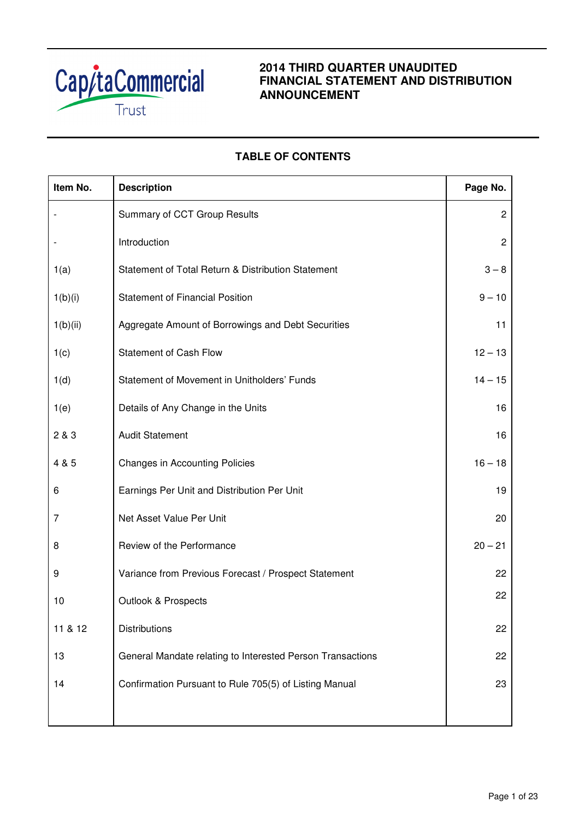

# **2014 THIRD QUARTER UNAUDITED FINANCIAL STATEMENT AND DISTRIBUTION ANNOUNCEMENT**

# **TABLE OF CONTENTS**

| Item No. | <b>Description</b>                                         | Page No.       |
|----------|------------------------------------------------------------|----------------|
|          | Summary of CCT Group Results                               | $\overline{c}$ |
|          | Introduction                                               | $\overline{c}$ |
| 1(a)     | Statement of Total Return & Distribution Statement         | $3 - 8$        |
| 1(b)(i)  | <b>Statement of Financial Position</b>                     | $9 - 10$       |
| 1(b)(ii) | Aggregate Amount of Borrowings and Debt Securities         | 11             |
| 1(c)     | <b>Statement of Cash Flow</b>                              | $12 - 13$      |
| 1(d)     | Statement of Movement in Unitholders' Funds                | $14 - 15$      |
| 1(e)     | Details of Any Change in the Units                         | 16             |
| 2 & 3    | <b>Audit Statement</b>                                     | 16             |
| 4 & 5    | <b>Changes in Accounting Policies</b>                      | $16 - 18$      |
| 6        | Earnings Per Unit and Distribution Per Unit                | 19             |
| 7        | Net Asset Value Per Unit                                   | 20             |
| 8        | Review of the Performance                                  | $20 - 21$      |
| 9        | Variance from Previous Forecast / Prospect Statement       | 22             |
| 10       | <b>Outlook &amp; Prospects</b>                             | 22             |
| 11 & 12  | <b>Distributions</b>                                       | 22             |
| 13       | General Mandate relating to Interested Person Transactions | 22             |
| 14       | Confirmation Pursuant to Rule 705(5) of Listing Manual     | 23             |
|          |                                                            |                |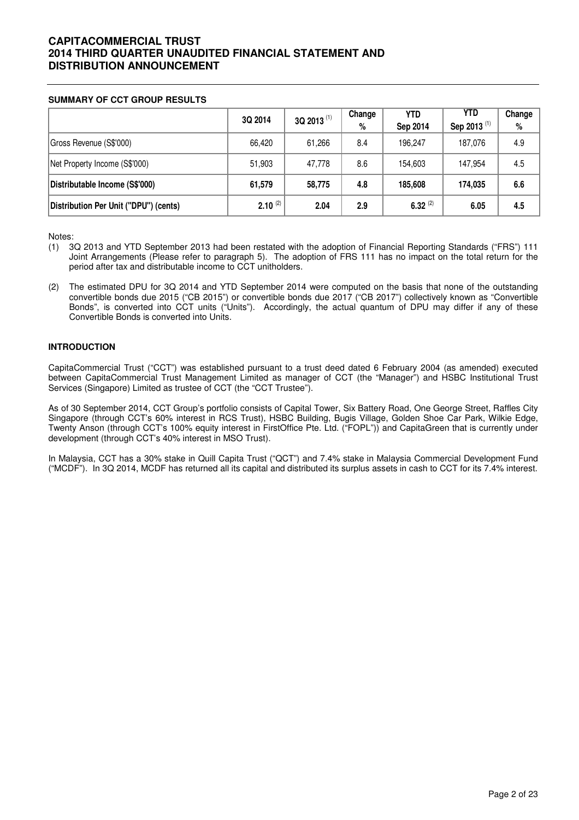## **SUMMARY OF CCT GROUP RESULTS**

|                                       | 3Q 2014      | 3Q 2013 <sup>(1)</sup> | Change<br>% | YTD<br>Sep 2014 | <b>YTD</b><br>Sep 2013 <sup>(1)</sup> | Change<br>$\%$ |
|---------------------------------------|--------------|------------------------|-------------|-----------------|---------------------------------------|----------------|
| Gross Revenue (S\$'000)               | 66.420       | 61,266                 | 8.4         | 196.247         | 187.076                               | 4.9            |
| Net Property Income (S\$'000)         | 51,903       | 47,778                 | 8.6         | 154,603         | 147.954                               | 4.5            |
| Distributable Income (S\$'000)        | 61,579       | 58,775                 | 4.8         | 185,608         | 174.035                               | 6.6            |
| Distribution Per Unit ("DPU") (cents) | $2.10^{(2)}$ | 2.04                   | 2.9         | $6.32^{(2)}$    | 6.05                                  | 4.5            |

Notes:

- (1) 3Q 2013 and YTD September 2013 had been restated with the adoption of Financial Reporting Standards ("FRS") 111 Joint Arrangements (Please refer to paragraph 5). The adoption of FRS 111 has no impact on the total return for the period after tax and distributable income to CCT unitholders.
- (2) The estimated DPU for 3Q 2014 and YTD September 2014 were computed on the basis that none of the outstanding convertible bonds due 2015 ("CB 2015") or convertible bonds due 2017 ("CB 2017") collectively known as "Convertible Bonds", is converted into CCT units ("Units"). Accordingly, the actual quantum of DPU may differ if any of these Convertible Bonds is converted into Units.

## **INTRODUCTION**

CapitaCommercial Trust ("CCT") was established pursuant to a trust deed dated 6 February 2004 (as amended) executed between CapitaCommercial Trust Management Limited as manager of CCT (the "Manager") and HSBC Institutional Trust Services (Singapore) Limited as trustee of CCT (the "CCT Trustee").

As of 30 September 2014, CCT Group's portfolio consists of Capital Tower, Six Battery Road, One George Street, Raffles City Singapore (through CCT's 60% interest in RCS Trust), HSBC Building, Bugis Village, Golden Shoe Car Park, Wilkie Edge, Twenty Anson (through CCT's 100% equity interest in FirstOffice Pte. Ltd. ("FOPL")) and CapitaGreen that is currently under development (through CCT's 40% interest in MSO Trust).

In Malaysia, CCT has a 30% stake in Quill Capita Trust ("QCT") and 7.4% stake in Malaysia Commercial Development Fund ("MCDF"). In 3Q 2014, MCDF has returned all its capital and distributed its surplus assets in cash to CCT for its 7.4% interest.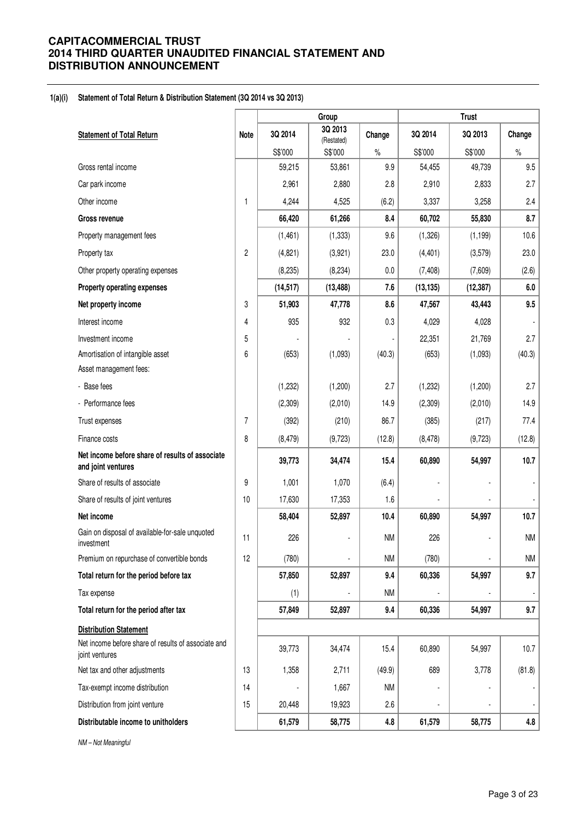#### **1(a)(i) Statement of Total Return & Distribution Statement (3Q 2014 vs 3Q 2013)**

|                                                                       |                |           | Group                 |           |           | <b>Trust</b> |                          |
|-----------------------------------------------------------------------|----------------|-----------|-----------------------|-----------|-----------|--------------|--------------------------|
| <b>Statement of Total Return</b>                                      | <b>Note</b>    | 3Q 2014   | 3Q 2013<br>(Restated) | Change    | 3Q 2014   | 3Q 2013      | Change                   |
|                                                                       |                | S\$'000   | S\$'000               | $\%$      | S\$'000   | S\$'000      | $\%$                     |
| Gross rental income                                                   |                | 59,215    | 53,861                | 9.9       | 54,455    | 49,739       | 9.5                      |
| Car park income                                                       |                | 2,961     | 2,880                 | 2.8       | 2,910     | 2,833        | 2.7                      |
| Other income                                                          | 1              | 4,244     | 4,525                 | (6.2)     | 3,337     | 3,258        | 2.4                      |
| <b>Gross revenue</b>                                                  |                | 66,420    | 61,266                | 8.4       | 60,702    | 55,830       | 8.7                      |
| Property management fees                                              |                | (1,461)   | (1, 333)              | 9.6       | (1,326)   | (1, 199)     | 10.6                     |
| Property tax                                                          | 2              | (4,821)   | (3,921)               | 23.0      | (4, 401)  | (3, 579)     | 23.0                     |
| Other property operating expenses                                     |                | (8, 235)  | (8, 234)              | $0.0\,$   | (7, 408)  | (7,609)      | (2.6)                    |
| Property operating expenses                                           |                | (14, 517) | (13, 488)             | 7.6       | (13, 135) | (12, 387)    | 6.0                      |
| Net property income                                                   | 3              | 51,903    | 47,778                | 8.6       | 47,567    | 43,443       | 9.5                      |
| Interest income                                                       | 4              | 935       | 932                   | 0.3       | 4,029     | 4,028        |                          |
| Investment income                                                     | 5              |           |                       |           | 22,351    | 21,769       | 2.7                      |
| Amortisation of intangible asset                                      | 6              | (653)     | (1,093)               | (40.3)    | (653)     | (1,093)      | (40.3)                   |
| Asset management fees:                                                |                |           |                       |           |           |              |                          |
| - Base fees                                                           |                | (1, 232)  | (1,200)               | 2.7       | (1, 232)  | (1,200)      | 2.7                      |
| - Performance fees                                                    |                | (2,309)   | (2,010)               | 14.9      | (2,309)   | (2,010)      | 14.9                     |
| Trust expenses                                                        | $\overline{7}$ | (392)     | (210)                 | 86.7      | (385)     | (217)        | 77.4                     |
| Finance costs                                                         | 8              | (8, 479)  | (9,723)               | (12.8)    | (8, 478)  | (9, 723)     | (12.8)                   |
| Net income before share of results of associate<br>and joint ventures |                | 39,773    | 34,474                | 15.4      | 60,890    | 54,997       | 10.7                     |
| Share of results of associate                                         | 9              | 1,001     | 1,070                 | (6.4)     |           |              |                          |
| Share of results of joint ventures                                    | 10             | 17,630    | 17,353                | 1.6       |           |              |                          |
| Net income                                                            |                | 58,404    | 52,897                | 10.4      | 60,890    | 54,997       | 10.7                     |
| Gain on disposal of available-for-sale unquoted<br>investment         | 11             | 226       |                       | <b>NM</b> | 226       |              | <b>NM</b>                |
| Premium on repurchase of convertible bonds                            | 12             | (780)     |                       | <b>NM</b> | (780)     |              | <b>NM</b>                |
| Total return for the period before tax                                |                | 57,850    | 52,897                | 9.4       | 60,336    | 54,997       | 9.7                      |
| Tax expense                                                           |                | (1)       |                       | <b>NM</b> |           |              | $\overline{\phantom{a}}$ |
| Total return for the period after tax                                 |                | 57,849    | 52,897                | 9.4       | 60,336    | 54,997       | 9.7                      |
| <b>Distribution Statement</b>                                         |                |           |                       |           |           |              |                          |
| Net income before share of results of associate and<br>joint ventures |                | 39,773    | 34,474                | 15.4      | 60,890    | 54,997       | 10.7                     |
| Net tax and other adjustments                                         | 13             | 1,358     | 2,711                 | (49.9)    | 689       | 3,778        | (81.8)                   |
| Tax-exempt income distribution                                        | 14             |           | 1,667                 | <b>NM</b> |           |              | ٠                        |
| Distribution from joint venture                                       | 15             | 20,448    | 19,923                | 2.6       |           |              |                          |
| Distributable income to unitholders                                   |                | 61,579    | 58,775                | 4.8       | 61,579    | 58,775       | 4.8                      |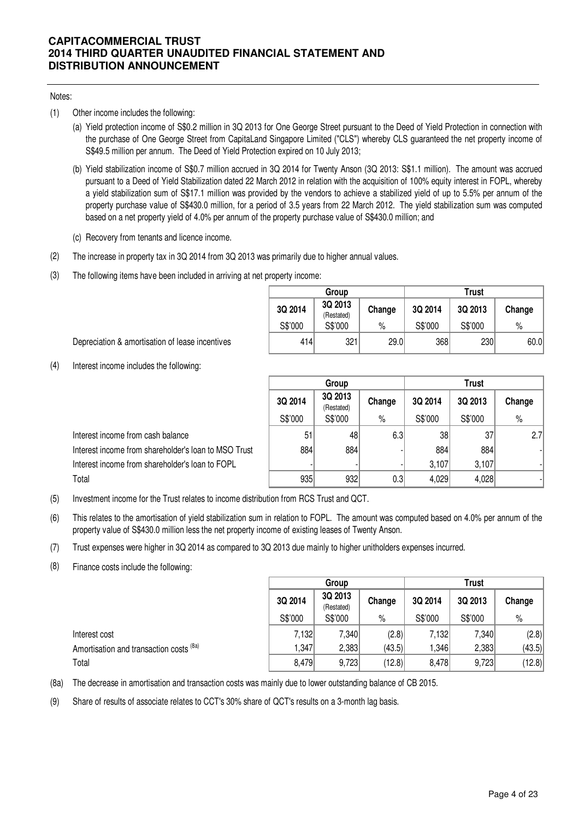## Notes:

- (1) Other income includes the following:
	- (a) Yield protection income of S\$0.2 million in 3Q 2013 for One George Street pursuant to the Deed of Yield Protection in connection with the purchase of One George Street from CapitaLand Singapore Limited ("CLS") whereby CLS guaranteed the net property income of S\$49.5 million per annum. The Deed of Yield Protection expired on 10 July 2013;
	- (b) Yield stabilization income of S\$0.7 million accrued in 3Q 2014 for Twenty Anson (3Q 2013: S\$1.1 million). The amount was accrued pursuant to a Deed of Yield Stabilization dated 22 March 2012 in relation with the acquisition of 100% equity interest in FOPL, whereby a yield stabilization sum of S\$17.1 million was provided by the vendors to achieve a stabilized yield of up to 5.5% per annum of the property purchase value of S\$430.0 million, for a period of 3.5 years from 22 March 2012. The yield stabilization sum was computed based on a net property yield of 4.0% per annum of the property purchase value of S\$430.0 million; and
	- (c) Recovery from tenants and licence income.
- (2) The increase in property tax in 3Q 2014 from 3Q 2013 was primarily due to higher annual values.
- (3) The following items have been included in arriving at net property income:

|         | Group                 |        |         | Trust   |        |
|---------|-----------------------|--------|---------|---------|--------|
| 3Q 2014 | 3Q 2013<br>(Restated) | Change | 3Q 2014 | 3Q 2013 | Change |
| S\$'000 | S\$'000               | %      | S\$'000 | S\$'000 | %      |
| 414     | 321                   | 29.0   | 368     | 230     | 60.0   |

Depreciation & amortisation of lease incentives

(4) Interest income includes the following:

|                                                      |                                            | Group   |                  | <b>Trust</b> |         |        |  |
|------------------------------------------------------|--------------------------------------------|---------|------------------|--------------|---------|--------|--|
|                                                      | 3Q 2013<br>3Q 2014<br>Change<br>(Restated) |         |                  | 3Q 2014      | 3Q 2013 | Change |  |
|                                                      | S\$'000                                    | S\$'000 | $\%$             | S\$'000      | S\$'000 | $\%$   |  |
| Interest income from cash balance                    | 51                                         | 48      | 6.3              | 38           | 37      | 2.7    |  |
| Interest income from shareholder's loan to MSO Trust | 884                                        | 884     |                  | 884          | 884     |        |  |
| Interest income from shareholder's loan to FOPL      |                                            |         |                  | 3,107        | 3,107   |        |  |
| Total                                                | 935                                        | 932     | 0.3 <sub>l</sub> | 4,029        | 4,028   |        |  |

- (5) Investment income for the Trust relates to income distribution from RCS Trust and QCT.
- (6) This relates to the amortisation of yield stabilization sum in relation to FOPL. The amount was computed based on 4.0% per annum of the property value of S\$430.0 million less the net property income of existing leases of Twenty Anson.
- (7) Trust expenses were higher in 3Q 2014 as compared to 3Q 2013 due mainly to higher unitholders expenses incurred.
- (8) Finance costs include the following:

|                                         |         | Group                 |        | Trust   |         |        |  |
|-----------------------------------------|---------|-----------------------|--------|---------|---------|--------|--|
|                                         | 3Q 2014 | 3Q 2013<br>(Restated) | Change | 3Q 2014 | 3Q 2013 | Change |  |
|                                         | S\$'000 | S\$'000               | %      | S\$'000 | S\$'000 | $\%$   |  |
| Interest cost                           | 7,132   | 7,340                 | (2.8)  | 7,132   | 7,340   | (2.8)  |  |
| Amortisation and transaction costs (8a) | 1,347   | 2,383                 | (43.5) | ,346    | 2,383   | (43.5) |  |
| Total                                   | 8,479   | 9,723                 | (12.8) | 8,478   | 9,723   | (12.8) |  |

(8a) The decrease in amortisation and transaction costs was mainly due to lower outstanding balance of CB 2015.

(9) Share of results of associate relates to CCT's 30% share of QCT's results on a 3-month lag basis.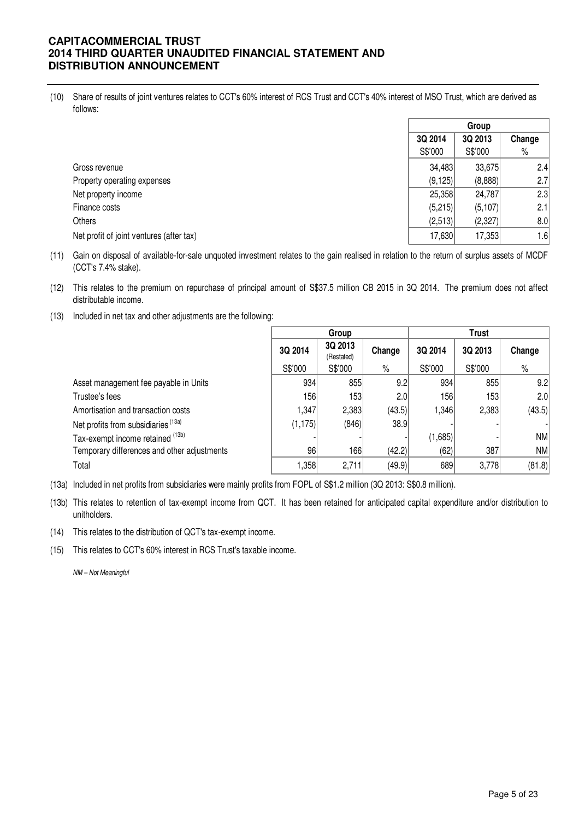(10) Share of results of joint ventures relates to CCT's 60% interest of RCS Trust and CCT's 40% interest of MSO Trust, which are derived as follows:

|                                          |          | Group    |        |
|------------------------------------------|----------|----------|--------|
|                                          | 3Q 2014  | 3Q 2013  | Change |
|                                          | S\$'000  | S\$'000  | %      |
| Gross revenue                            | 34,483   | 33,675   | 2.4    |
| Property operating expenses              | (9, 125) | (8,888)  | 2.7    |
| Net property income                      | 25,358   | 24,787   | 2.3    |
| Finance costs                            | (5,215)  | (5, 107) | 2.1    |
| <b>Others</b>                            | (2,513)  | (2,327)  | 8.0    |
| Net profit of joint ventures (after tax) | 17,630   | 17,353   | 1.6    |

- (11) Gain on disposal of available-for-sale unquoted investment relates to the gain realised in relation to the return of surplus assets of MCDF (CCT's 7.4% stake).
- (12) This relates to the premium on repurchase of principal amount of S\$37.5 million CB 2015 in 3Q 2014. The premium does not affect distributable income.
- (13) Included in net tax and other adjustments are the following:

|                                             |          | Group                 |        |         | Trust   |           |
|---------------------------------------------|----------|-----------------------|--------|---------|---------|-----------|
|                                             | 3Q 2014  | 3Q 2013<br>(Restated) | Change | 3Q 2014 | 3Q 2013 | Change    |
|                                             | S\$'000  | S\$'000               | $\%$   | S\$'000 | S\$'000 | %         |
| Asset management fee payable in Units       | 934      | 855                   | 9.2    | 934     | 855     | 9.2       |
| Trustee's fees                              | 1561     | 153                   | 2.0    | 156     | 153     | 2.0       |
| Amortisation and transaction costs          | 1,347    | 2,383                 | (43.5) | 1,346   | 2,383   | (43.5)    |
| Net profits from subsidiaries (13a)         | (1, 175) | (846)                 | 38.9   |         |         |           |
| Tax-exempt income retained (13b)            |          |                       |        | (1,685) |         | <b>NM</b> |
| Temporary differences and other adjustments | 96       | 166                   | (42.2) | (62)    | 387     | <b>NM</b> |
| Total                                       | 1,358    | 2,711                 | (49.9) | 689     | 3,778   | (81.8)    |

(13a) Included in net profits from subsidiaries were mainly profits from FOPL of S\$1.2 million (3Q 2013: S\$0.8 million).

- (13b) This relates to retention of tax-exempt income from QCT. It has been retained for anticipated capital expenditure and/or distribution to unitholders.
- (14) This relates to the distribution of QCT's tax-exempt income.

(15) This relates to CCT's 60% interest in RCS Trust's taxable income.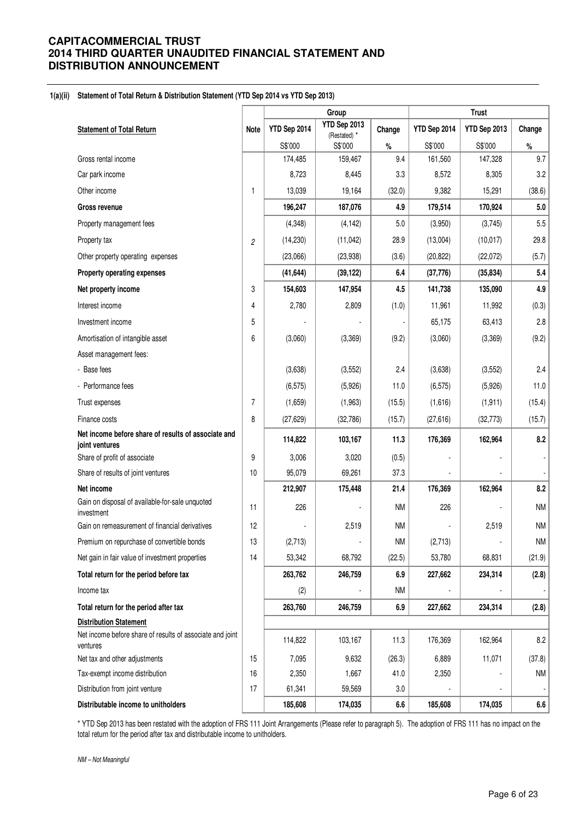#### **1(a)(ii) Statement of Total Return & Distribution Statement (YTD Sep 2014 vs YTD Sep 2013)**

|                                                                       |                |              | Group                   |           |              | <b>Trust</b> |           |
|-----------------------------------------------------------------------|----------------|--------------|-------------------------|-----------|--------------|--------------|-----------|
| <b>Statement of Total Return</b>                                      | <b>Note</b>    | YTD Sep 2014 | YTD Sep 2013            | Change    | YTD Sep 2014 | YTD Sep 2013 | Change    |
|                                                                       |                | S\$'000      | (Restated) *<br>S\$'000 | $\%$      | S\$'000      | S\$'000      | $\%$      |
| Gross rental income                                                   |                | 174,485      | 159,467                 | 9.4       | 161,560      | 147,328      | 9.7       |
| Car park income                                                       |                | 8,723        | 8,445                   | 3.3       | 8,572        | 8,305        | 3.2       |
| Other income                                                          | 1              | 13,039       | 19,164                  | (32.0)    | 9,382        | 15,291       | (38.6)    |
| <b>Gross revenue</b>                                                  |                | 196,247      | 187,076                 | 4.9       | 179,514      | 170,924      | 5.0       |
| Property management fees                                              |                | (4, 348)     | (4, 142)                | 5.0       | (3,950)      | (3,745)      | 5.5       |
| Property tax                                                          | 2              | (14, 230)    | (11,042)                | 28.9      | (13,004)     | (10, 017)    | 29.8      |
| Other property operating expenses                                     |                | (23,066)     | (23, 938)               | (3.6)     | (20, 822)    | (22, 072)    | (5.7)     |
| Property operating expenses                                           |                | (41, 644)    | (39, 122)               | 6.4       | (37, 776)    | (35, 834)    | 5.4       |
| Net property income                                                   | 3              | 154,603      | 147,954                 | 4.5       | 141,738      | 135,090      | 4.9       |
| Interest income                                                       | 4              | 2,780        | 2,809                   | (1.0)     | 11,961       | 11,992       | (0.3)     |
| Investment income                                                     | 5              |              |                         |           | 65,175       | 63,413       | 2.8       |
| Amortisation of intangible asset                                      | 6              | (3,060)      | (3,369)                 | (9.2)     | (3,060)      | (3,369)      | (9.2)     |
| Asset management fees:                                                |                |              |                         |           |              |              |           |
| - Base fees                                                           |                | (3,638)      | (3, 552)                | 2.4       | (3,638)      | (3, 552)     | 2.4       |
| - Performance fees                                                    |                | (6, 575)     | (5,926)                 | 11.0      | (6, 575)     | (5,926)      | 11.0      |
| Trust expenses                                                        | $\overline{7}$ | (1,659)      | (1,963)                 | (15.5)    | (1,616)      | (1, 911)     | (15.4)    |
| Finance costs                                                         | 8              | (27, 629)    | (32, 786)               | (15.7)    | (27, 616)    | (32, 773)    | (15.7)    |
| Net income before share of results of associate and                   |                | 114,822      | 103,167                 | 11.3      | 176,369      | 162,964      | 8.2       |
| joint ventures<br>Share of profit of associate                        | 9              | 3,006        | 3,020                   | (0.5)     |              |              |           |
| Share of results of joint ventures                                    | 10             | 95,079       | 69,261                  | 37.3      |              |              |           |
| Net income                                                            |                | 212,907      | 175,448                 | 21.4      | 176,369      | 162,964      | 8.2       |
| Gain on disposal of available-for-sale unquoted<br>investment         | 11             | 226          |                         | <b>NM</b> | 226          |              | <b>NM</b> |
| Gain on remeasurement of financial derivatives                        | 12             |              | 2,519                   | <b>NM</b> |              | 2,519        | <b>NM</b> |
| Premium on repurchase of convertible bonds                            | 13             | (2,713)      |                         | ΝM        | (2,713)      |              | NM        |
| Net gain in fair value of investment properties                       | 14             | 53,342       | 68,792                  | (22.5)    | 53,780       | 68,831       | (21.9)    |
| Total return for the period before tax                                |                | 263,762      | 246,759                 | 6.9       | 227,662      | 234,314      | (2.8)     |
| Income tax                                                            |                | (2)          |                         | NM        |              |              |           |
| Total return for the period after tax                                 |                | 263,760      | 246,759                 | 6.9       | 227,662      | 234,314      | (2.8)     |
| <b>Distribution Statement</b>                                         |                |              |                         |           |              |              |           |
| Net income before share of results of associate and joint<br>ventures |                | 114,822      | 103,167                 | 11.3      | 176,369      | 162,964      | 8.2       |
| Net tax and other adjustments                                         | 15             | 7,095        | 9,632                   | (26.3)    | 6,889        | 11,071       | (37.8)    |
| Tax-exempt income distribution                                        | 16             | 2,350        | 1,667                   | 41.0      | 2,350        |              | NM        |
| Distribution from joint venture                                       | 17             | 61,341       | 59,569                  | 3.0       |              |              |           |
| Distributable income to unitholders                                   |                | 185,608      | 174,035                 | 6.6       | 185,608      | 174,035      | 6.6       |

\* YTD Sep 2013 has been restated with the adoption of FRS 111 Joint Arrangements (Please refer to paragraph 5). The adoption of FRS 111 has no impact on the total return for the period after tax and distributable income to unitholders.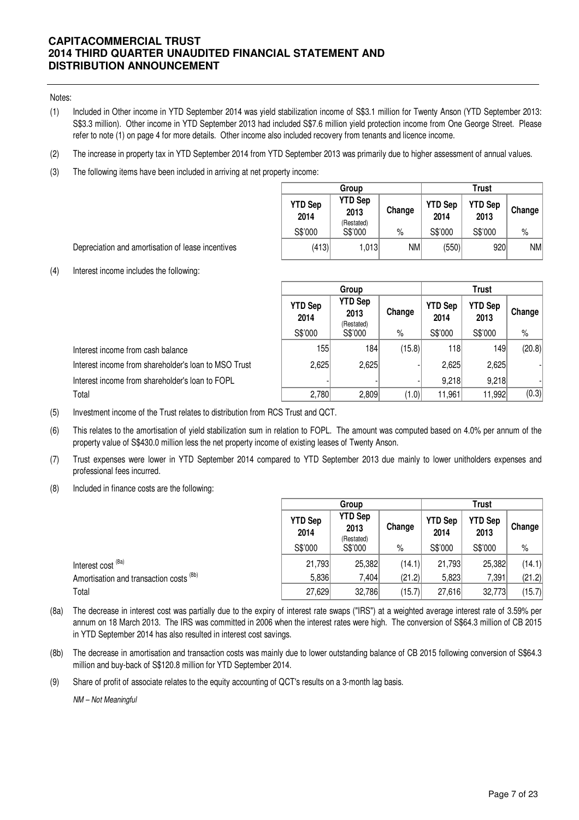Notes:

- (1) Included in Other income in YTD September 2014 was yield stabilization income of S\$3.1 million for Twenty Anson (YTD September 2013: S\$3.3 million). Other income in YTD September 2013 had included S\$7.6 million yield protection income from One George Street. Please refer to note (1) on page 4 for more details. Other income also included recovery from tenants and licence income.
- (2) The increase in property tax in YTD September 2014 from YTD September 2013 was primarily due to higher assessment of annual values.
- (3) The following items have been included in arriving at net property income:

|                        | Group                  |        |                        | Trust                  |        |
|------------------------|------------------------|--------|------------------------|------------------------|--------|
| <b>YTD Sep</b><br>2014 | <b>YTD Sep</b><br>2013 | Change | <b>YTD Sep</b><br>2014 | <b>YTD Sep</b><br>2013 | Change |
| S\$'000                | (Restated)<br>S\$'000  | %      | S\$'000                | S\$'000                | $\%$   |
| (413)                  | 1,013                  | NM.    | (550)                  | 920                    | NM     |

Depreciation and amortisation of lease incentives

(4) Interest income includes the following:

|                                                      |                        | Group                                | <b>Trust</b> |                        |                        |        |  |
|------------------------------------------------------|------------------------|--------------------------------------|--------------|------------------------|------------------------|--------|--|
|                                                      | <b>YTD Sep</b><br>2014 | <b>YTD Sep</b><br>2013<br>(Restated) | Change       | <b>YTD Sep</b><br>2014 | <b>YTD Sep</b><br>2013 | Change |  |
|                                                      | S\$'000                | S\$'000                              | $\%$         | S\$'000                | S\$'000                | %      |  |
| Interest income from cash balance                    | 155                    | 184                                  | (15.8)       | 118                    | 1491                   | (20.8) |  |
| Interest income from shareholder's loan to MSO Trust | 2,625                  | 2,625                                |              | 2.625                  | 2,625                  |        |  |
| Interest income from shareholder's loan to FOPL      |                        |                                      |              | 9,218                  | 9,218                  |        |  |
| Total                                                | 2,780                  | 2,809                                | (1.0)        | 11,961                 | 11,992                 | (0.3)  |  |

(5) Investment income of the Trust relates to distribution from RCS Trust and QCT.

- (6) This relates to the amortisation of yield stabilization sum in relation to FOPL. The amount was computed based on 4.0% per annum of the property value of S\$430.0 million less the net property income of existing leases of Twenty Anson.
- (7) Trust expenses were lower in YTD September 2014 compared to YTD September 2013 due mainly to lower unitholders expenses and professional fees incurred.
- (8) Included in finance costs are the following:

|                                                    | Group                  |                                      |        | <b>Trust</b>           |                        |        |  |
|----------------------------------------------------|------------------------|--------------------------------------|--------|------------------------|------------------------|--------|--|
|                                                    | <b>YTD Sep</b><br>2014 | <b>YTD Sep</b><br>2013<br>(Restated) | Change | <b>YTD Sep</b><br>2014 | <b>YTD Sep</b><br>2013 | Change |  |
|                                                    | S\$'000                | S\$'000                              | %      | S\$'000                | S\$'000                | %      |  |
| Interest cost <sup>(8a)</sup>                      | 21,793                 | 25,382                               | (14.1) | 21,793                 | 25,382                 | (14.1) |  |
| Amortisation and transaction costs <sup>(8b)</sup> | 5,836                  | 7,404                                | (21.2) | 5,823                  | 7,391                  | (21.2) |  |
| Total                                              | 27,629                 | 32,786                               | (15.7) | 27,616                 | 32,773                 | (15.7) |  |

- (8a) The decrease in interest cost was partially due to the expiry of interest rate swaps ("IRS") at a weighted average interest rate of 3.59% per annum on 18 March 2013. The IRS was committed in 2006 when the interest rates were high. The conversion of S\$64.3 million of CB 2015 in YTD September 2014 has also resulted in interest cost savings.
- (8b) The decrease in amortisation and transaction costs was mainly due to lower outstanding balance of CB 2015 following conversion of S\$64.3 million and buy-back of S\$120.8 million for YTD September 2014.
- (9) Share of profit of associate relates to the equity accounting of QCT's results on a 3-month lag basis.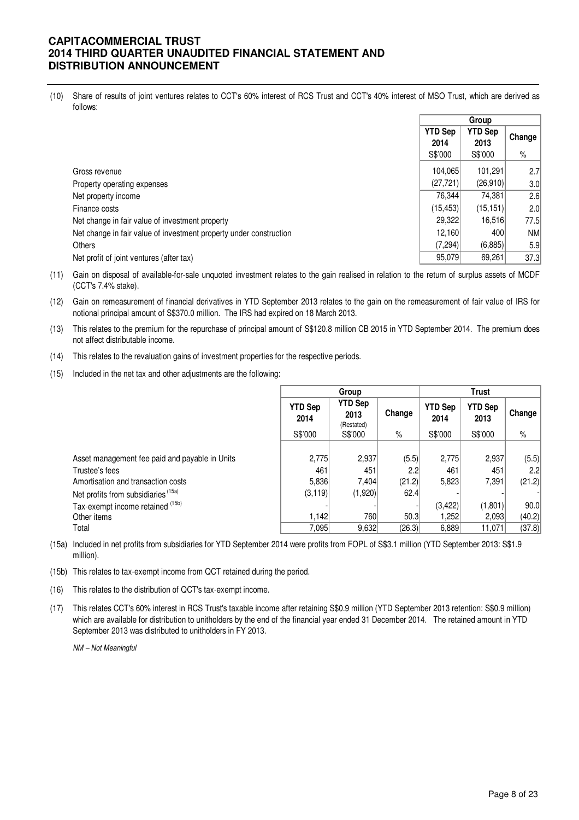(10) Share of results of joint ventures relates to CCT's 60% interest of RCS Trust and CCT's 40% interest of MSO Trust, which are derived as follows:

|                                                                    | <b>YTD Sep</b><br>2014<br>S\$'000 | <b>YTD Sep</b><br>2013<br>S\$'000 | Change<br>$\%$ |
|--------------------------------------------------------------------|-----------------------------------|-----------------------------------|----------------|
| Gross revenue                                                      | 104,065                           | 101,291                           | 2.7            |
| Property operating expenses                                        | (27, 721)                         | (26,910)                          | 3.0            |
| Net property income                                                | 76,344                            | 74,381                            | 2.6            |
| Finance costs                                                      | (15.453)                          | (15, 151)                         | 2.0            |
| Net change in fair value of investment property                    | 29,322                            | 16,516                            | 77.5           |
| Net change in fair value of investment property under construction | 12,160                            | 400                               | <b>NM</b>      |
| <b>Others</b>                                                      | (7,294)                           | (6,885)                           | 5.9            |
| Net profit of joint ventures (after tax)                           | 95,079                            | 69,261                            | 37.3           |

(11) Gain on disposal of available-for-sale unquoted investment relates to the gain realised in relation to the return of surplus assets of MCDF (CCT's 7.4% stake).

(12) Gain on remeasurement of financial derivatives in YTD September 2013 relates to the gain on the remeasurement of fair value of IRS for notional principal amount of S\$370.0 million. The IRS had expired on 18 March 2013.

- (13) This relates to the premium for the repurchase of principal amount of S\$120.8 million CB 2015 in YTD September 2014. The premium does not affect distributable income.
- (14) This relates to the revaluation gains of investment properties for the respective periods.
- (15) Included in the net tax and other adjustments are the following:

|                                                | Group                  |                                         |        | Trust                  |                        |        |  |
|------------------------------------------------|------------------------|-----------------------------------------|--------|------------------------|------------------------|--------|--|
|                                                | <b>YTD Sep</b><br>2014 | YTD Sep<br>Change<br>2013<br>(Restated) |        | <b>YTD Sep</b><br>2014 | <b>YTD Sep</b><br>2013 | Change |  |
|                                                | S\$'000                | S\$'000                                 | $\%$   | S\$'000                | S\$'000                | $\%$   |  |
|                                                |                        |                                         |        |                        |                        |        |  |
| Asset management fee paid and payable in Units | 2,775                  | 2,937                                   | (5.5)  | 2,775                  | 2,937                  | (5.5)  |  |
| Trustee's fees                                 | 461                    | 451                                     | 2.2    | 461                    | 451                    | 2.2    |  |
| Amortisation and transaction costs             | 5,836                  | 7,404                                   | (21.2) | 5,823                  | 7,391                  | (21.2) |  |
| Net profits from subsidiaries <sup>(15a)</sup> | (3, 119)               | (1,920)                                 | 62.4   |                        |                        |        |  |
| Tax-exempt income retained (15b)               |                        |                                         |        | (3,422)                | (1, 801)               | 90.0   |  |
| Other items                                    | 1.142                  | 760                                     | 50.3   | 1.2521                 | 2,093                  | (40.2) |  |
| Total                                          | 7.095                  | 9,632                                   | (26.3) | 6,889                  | 11,071                 | (37.8) |  |

(15a) Included in net profits from subsidiaries for YTD September 2014 were profits from FOPL of S\$3.1 million (YTD September 2013: S\$1.9 million).

(15b) This relates to tax-exempt income from QCT retained during the period.

(16) This relates to the distribution of QCT's tax-exempt income.

(17) This relates CCT's 60% interest in RCS Trust's taxable income after retaining S\$0.9 million (YTD September 2013 retention: S\$0.9 million) which are available for distribution to unitholders by the end of the financial year ended 31 December 2014. The retained amount in YTD September 2013 was distributed to unitholders in FY 2013.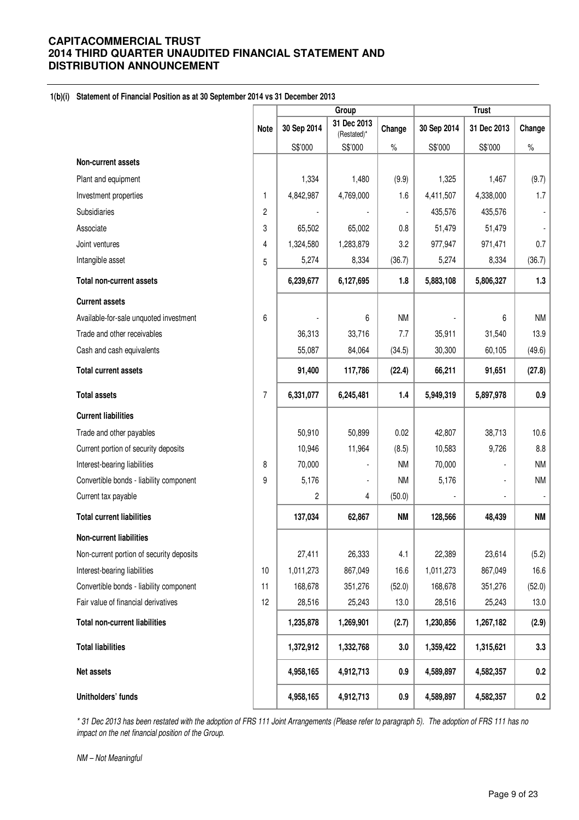## **1(b)(i) Statement of Financial Position as at 30 September 2014 vs 31 December 2013**

|                                          |             | Group          |                            |           |             | <b>Trust</b> |                |  |
|------------------------------------------|-------------|----------------|----------------------------|-----------|-------------|--------------|----------------|--|
|                                          | <b>Note</b> | 30 Sep 2014    | 31 Dec 2013<br>(Restated)* | Change    | 30 Sep 2014 | 31 Dec 2013  | Change         |  |
|                                          |             | S\$'000        | S\$'000                    | $\%$      | S\$'000     | S\$'000      | $\%$           |  |
| Non-current assets                       |             |                |                            |           |             |              |                |  |
| Plant and equipment                      |             | 1,334          | 1,480                      | (9.9)     | 1,325       | 1,467        | (9.7)          |  |
| Investment properties                    | 1           | 4,842,987      | 4,769,000                  | 1.6       | 4,411,507   | 4,338,000    | 1.7            |  |
| Subsidiaries                             | 2           |                |                            |           | 435,576     | 435,576      |                |  |
| Associate                                | 3           | 65,502         | 65,002                     | 0.8       | 51,479      | 51,479       | $\blacksquare$ |  |
| Joint ventures                           | 4           | 1,324,580      | 1,283,879                  | 3.2       | 977,947     | 971,471      | 0.7            |  |
| Intangible asset                         | 5           | 5,274          | 8,334                      | (36.7)    | 5,274       | 8,334        | (36.7)         |  |
| <b>Total non-current assets</b>          |             | 6,239,677      | 6,127,695                  | 1.8       | 5,883,108   | 5,806,327    | 1.3            |  |
| <b>Current assets</b>                    |             |                |                            |           |             |              |                |  |
| Available-for-sale unquoted investment   | 6           | $\overline{a}$ | 6                          | <b>NM</b> |             | 6            | <b>NM</b>      |  |
| Trade and other receivables              |             | 36,313         | 33,716                     | 7.7       | 35,911      | 31,540       | 13.9           |  |
| Cash and cash equivalents                |             | 55,087         | 84,064                     | (34.5)    | 30,300      | 60,105       | (49.6)         |  |
| <b>Total current assets</b>              |             | 91,400         | 117,786                    | (22.4)    | 66,211      | 91,651       | (27.8)         |  |
| <b>Total assets</b>                      | 7           | 6,331,077      | 6,245,481                  | 1.4       | 5,949,319   | 5,897,978    | 0.9            |  |
| <b>Current liabilities</b>               |             |                |                            |           |             |              |                |  |
| Trade and other payables                 |             | 50,910         | 50,899                     | 0.02      | 42,807      | 38,713       | 10.6           |  |
| Current portion of security deposits     |             | 10,946         | 11,964                     | (8.5)     | 10,583      | 9,726        | 8.8            |  |
| Interest-bearing liabilities             | 8           | 70,000         |                            | <b>NM</b> | 70,000      |              | <b>NM</b>      |  |
| Convertible bonds - liability component  | 9           | 5,176          |                            | <b>NM</b> | 5,176       |              | <b>NM</b>      |  |
| Current tax payable                      |             | 2              | 4                          | (50.0)    |             | ÷,           |                |  |
| <b>Total current liabilities</b>         |             | 137,034        | 62,867                     | <b>NM</b> | 128,566     | 48,439       | <b>NM</b>      |  |
| <b>Non-current liabilities</b>           |             |                |                            |           |             |              |                |  |
| Non-current portion of security deposits |             | 27,411         | 26,333                     | 4.1       | 22,389      | 23,614       | (5.2)          |  |
| Interest-bearing liabilities             | 10          | 1,011,273      | 867,049                    | 16.6      | 1,011,273   | 867,049      | 16.6           |  |
| Convertible bonds - liability component  | 11          | 168,678        | 351,276                    | (52.0)    | 168,678     | 351,276      | (52.0)         |  |
| Fair value of financial derivatives      | 12          | 28,516         | 25,243                     | 13.0      | 28,516      | 25,243       | 13.0           |  |
| <b>Total non-current liabilities</b>     |             | 1,235,878      | 1,269,901                  | (2.7)     | 1,230,856   | 1,267,182    | (2.9)          |  |
| <b>Total liabilities</b>                 |             | 1,372,912      | 1,332,768                  | 3.0       | 1,359,422   | 1,315,621    | 3.3            |  |
| Net assets                               |             | 4,958,165      | 4,912,713                  | 0.9       | 4,589,897   | 4,582,357    | 0.2            |  |
| Unitholders' funds                       |             | 4,958,165      | 4,912,713                  | 0.9       | 4,589,897   | 4,582,357    | 0.2            |  |

\* 31 Dec 2013 has been restated with the adoption of FRS 111 Joint Arrangements (Please refer to paragraph 5). The adoption of FRS 111 has no impact on the net financial position of the Group.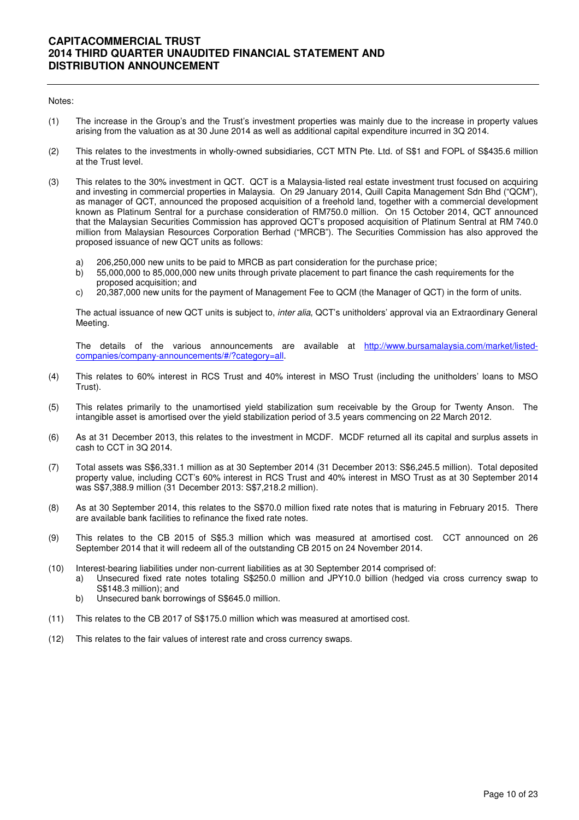#### Notes:

- (1) The increase in the Group's and the Trust's investment properties was mainly due to the increase in property values arising from the valuation as at 30 June 2014 as well as additional capital expenditure incurred in 3Q 2014.
- (2) This relates to the investments in wholly-owned subsidiaries, CCT MTN Pte. Ltd. of S\$1 and FOPL of S\$435.6 million at the Trust level.
- (3) This relates to the 30% investment in QCT. QCT is a Malaysia-listed real estate investment trust focused on acquiring and investing in commercial properties in Malaysia. On 29 January 2014, Quill Capita Management Sdn Bhd ("QCM"), as manager of QCT, announced the proposed acquisition of a freehold land, together with a commercial development known as Platinum Sentral for a purchase consideration of RM750.0 million. On 15 October 2014, QCT announced that the Malaysian Securities Commission has approved QCT's proposed acquisition of Platinum Sentral at RM 740.0 million from Malaysian Resources Corporation Berhad ("MRCB"). The Securities Commission has also approved the proposed issuance of new QCT units as follows:
	- a) 206,250,000 new units to be paid to MRCB as part consideration for the purchase price;
	- b) 55,000,000 to 85,000,000 new units through private placement to part finance the cash requirements for the proposed acquisition; and
	- c) 20,387,000 new units for the payment of Management Fee to QCM (the Manager of QCT) in the form of units.

The actual issuance of new QCT units is subject to, inter alia, QCT's unitholders' approval via an Extraordinary General Meeting.

The details of the various announcements are available at http://www.bursamalaysia.com/market/listedcompanies/company-announcements/#/?category=all.

- (4) This relates to 60% interest in RCS Trust and 40% interest in MSO Trust (including the unitholders' loans to MSO Trust).
- (5) This relates primarily to the unamortised yield stabilization sum receivable by the Group for Twenty Anson. The intangible asset is amortised over the yield stabilization period of 3.5 years commencing on 22 March 2012.
- (6) As at 31 December 2013, this relates to the investment in MCDF. MCDF returned all its capital and surplus assets in cash to CCT in 3Q 2014.
- (7) Total assets was S\$6,331.1 million as at 30 September 2014 (31 December 2013: S\$6,245.5 million). Total deposited property value, including CCT's 60% interest in RCS Trust and 40% interest in MSO Trust as at 30 September 2014 was S\$7,388.9 million (31 December 2013: S\$7,218.2 million).
- (8) As at 30 September 2014, this relates to the S\$70.0 million fixed rate notes that is maturing in February 2015. There are available bank facilities to refinance the fixed rate notes.
- (9) This relates to the CB 2015 of S\$5.3 million which was measured at amortised cost. CCT announced on 26 September 2014 that it will redeem all of the outstanding CB 2015 on 24 November 2014.
- (10) Interest-bearing liabilities under non-current liabilities as at 30 September 2014 comprised of:
	- a) Unsecured fixed rate notes totaling S\$250.0 million and JPY10.0 billion (hedged via cross currency swap to S\$148.3 million); and
	- b) Unsecured bank borrowings of S\$645.0 million.
- (11) This relates to the CB 2017 of S\$175.0 million which was measured at amortised cost.
- (12) This relates to the fair values of interest rate and cross currency swaps.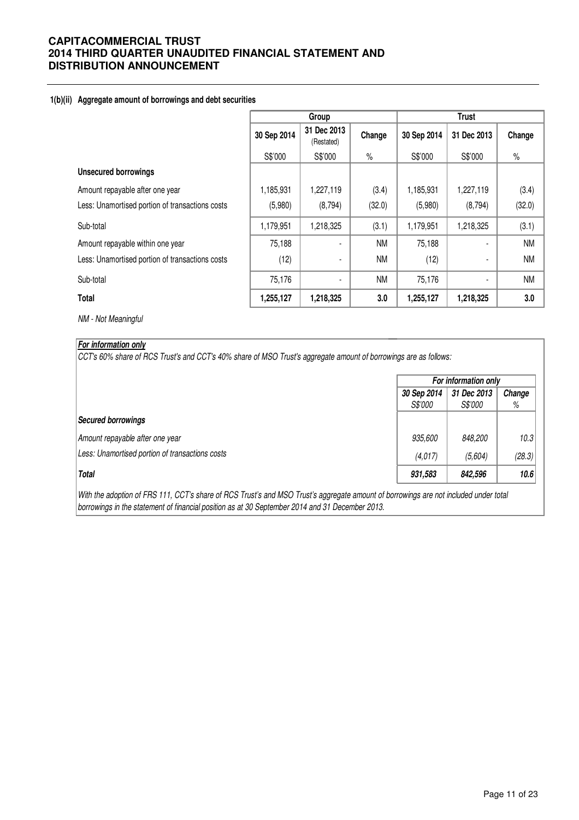## **1(b)(ii) Aggregate amount of borrowings and debt securities**

|                                                 | Group       |                           |           | <b>Trust</b> |             |           |  |
|-------------------------------------------------|-------------|---------------------------|-----------|--------------|-------------|-----------|--|
|                                                 | 30 Sep 2014 | 31 Dec 2013<br>(Restated) | Change    | 30 Sep 2014  | 31 Dec 2013 | Change    |  |
|                                                 | S\$'000     | S\$'000                   | $\%$      | S\$'000      | S\$'000     | $\%$      |  |
| <b>Unsecured borrowings</b>                     |             |                           |           |              |             |           |  |
| Amount repayable after one year                 | 1,185,931   | 1,227,119                 | (3.4)     | 1,185,931    | 1,227,119   | (3.4)     |  |
| Less: Unamortised portion of transactions costs | (5,980)     | (8,794)                   | (32.0)    | (5,980)      | (8,794)     | (32.0)    |  |
| Sub-total                                       | 1,179,951   | 1,218,325                 | (3.1)     | 1,179,951    | 1,218,325   | (3.1)     |  |
| Amount repayable within one year                | 75,188      | ۰                         | <b>NM</b> | 75,188       |             | <b>NM</b> |  |
| Less: Unamortised portion of transactions costs | (12)        | $\blacksquare$            | <b>NM</b> | (12)         |             | <b>NM</b> |  |
| Sub-total                                       | 75,176      |                           | <b>NM</b> | 75,176       |             | <b>NM</b> |  |
| Total                                           | 1,255,127   | 1,218,325                 | 3.0       | 1,255,127    | 1,218,325   | 3.0       |  |

NM - Not Meaningful

## **For information only**

CCT's 60% share of RCS Trust's and CCT's 40% share of MSO Trust's aggregate amount of borrowings are as follows:

|                                                 | For information only                 |                |        |  |
|-------------------------------------------------|--------------------------------------|----------------|--------|--|
|                                                 | 31 Dec 2013<br>Change<br>30 Sep 2014 |                |        |  |
|                                                 | <i>S\$'000</i>                       | <i>S\$'000</i> | %      |  |
| Secured borrowings                              |                                      |                |        |  |
| Amount repayable after one year                 | 935,600                              | 848,200        | 10.3   |  |
| Less: Unamortised portion of transactions costs | (4,017)                              | (5,604)        | (28.3) |  |
| <b>Total</b>                                    | 931,583                              | 842,596        | 10.6   |  |

With the adoption of FRS 111, CCT's share of RCS Trust's and MSO Trust's aggregate amount of borrowings are not included under total borrowings in the statement of financial position as at 30 September 2014 and 31 December 2013.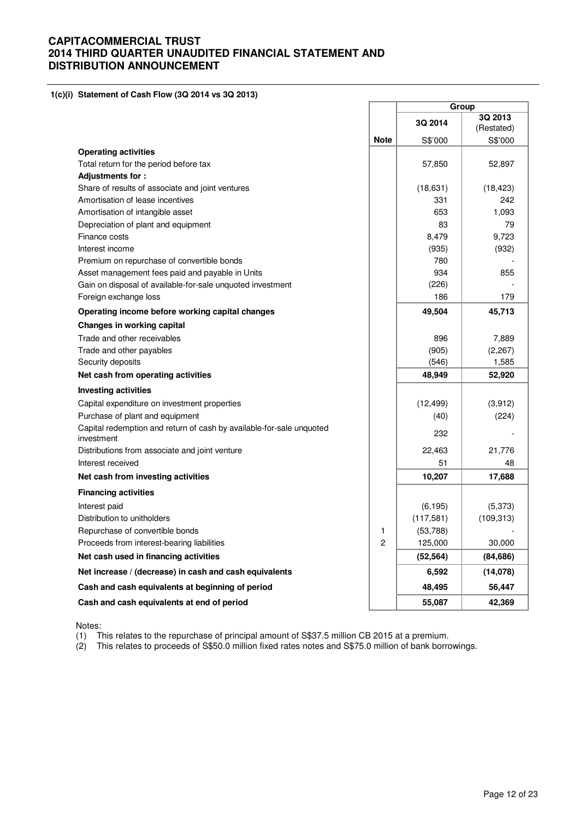#### **1(c)(i) Statement of Cash Flow (3Q 2014 vs 3Q 2013)**

|                                                                                    |                | Group      |                       |
|------------------------------------------------------------------------------------|----------------|------------|-----------------------|
|                                                                                    |                | 3Q 2014    | 3Q 2013<br>(Restated) |
|                                                                                    | <b>Note</b>    | S\$'000    | S\$'000               |
| <b>Operating activities</b>                                                        |                |            |                       |
| Total return for the period before tax                                             |                | 57,850     | 52,897                |
| Adjustments for:                                                                   |                |            |                       |
| Share of results of associate and joint ventures                                   |                | (18, 631)  | (18, 423)             |
| Amortisation of lease incentives                                                   |                | 331        | 242                   |
| Amortisation of intangible asset                                                   |                | 653        | 1,093                 |
| Depreciation of plant and equipment                                                |                | 83         | 79                    |
| Finance costs                                                                      |                | 8,479      | 9,723                 |
| Interest income                                                                    |                | (935)      | (932)                 |
| Premium on repurchase of convertible bonds                                         |                | 780        |                       |
| Asset management fees paid and payable in Units                                    |                | 934        | 855                   |
| Gain on disposal of available-for-sale unquoted investment                         |                | (226)      |                       |
| Foreign exchange loss                                                              |                | 186        | 179                   |
| Operating income before working capital changes                                    |                | 49,504     | 45,713                |
| Changes in working capital                                                         |                |            |                       |
| Trade and other receivables                                                        |                | 896        | 7,889                 |
| Trade and other payables                                                           |                | (905)      | (2,267)               |
| Security deposits                                                                  |                | (546)      | 1,585                 |
| Net cash from operating activities                                                 |                | 48,949     | 52,920                |
| <b>Investing activities</b>                                                        |                |            |                       |
| Capital expenditure on investment properties                                       |                | (12, 499)  | (3,912)               |
| Purchase of plant and equipment                                                    |                | (40)       | (224)                 |
| Capital redemption and return of cash by available-for-sale unquoted<br>investment |                | 232        |                       |
| Distributions from associate and joint venture                                     |                | 22,463     | 21,776                |
| Interest received                                                                  |                | 51         | 48                    |
| Net cash from investing activities                                                 |                | 10,207     | 17,688                |
| <b>Financing activities</b>                                                        |                |            |                       |
| Interest paid                                                                      |                | (6, 195)   | (5,373)               |
| Distribution to unitholders                                                        |                | (117, 581) | (109, 313)            |
| Repurchase of convertible bonds                                                    | 1              | (53,788)   |                       |
| Proceeds from interest-bearing liabilities                                         | $\overline{c}$ | 125,000    | 30,000                |
| Net cash used in financing activities                                              |                | (52, 564)  | (84, 686)             |
| Net increase / (decrease) in cash and cash equivalents                             |                | 6,592      | (14, 078)             |
| Cash and cash equivalents at beginning of period                                   |                | 48,495     | 56,447                |
| Cash and cash equivalents at end of period                                         |                | 55,087     | 42,369                |

Notes:

(1) This relates to the repurchase of principal amount of S\$37.5 million CB 2015 at a premium.

(2) This relates to proceeds of S\$50.0 million fixed rates notes and S\$75.0 million of bank borrowings.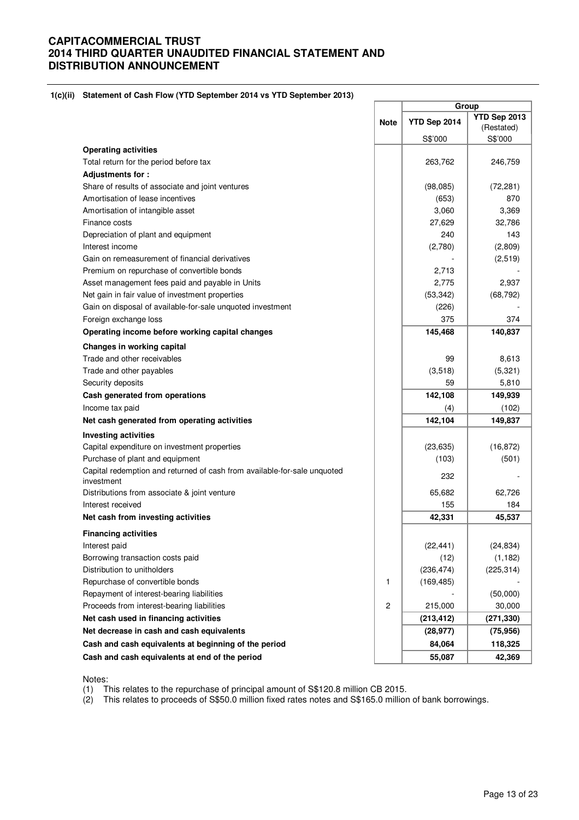#### **1(c)(ii) Statement of Cash Flow (YTD September 2014 vs YTD September 2013)**

|                                                                                        |                         | Group        |                            |
|----------------------------------------------------------------------------------------|-------------------------|--------------|----------------------------|
|                                                                                        | <b>Note</b>             | YTD Sep 2014 | YTD Sep 2013<br>(Restated) |
|                                                                                        |                         | S\$'000      | S\$'000                    |
| <b>Operating activities</b>                                                            |                         |              |                            |
| Total return for the period before tax                                                 |                         | 263,762      | 246,759                    |
| Adjustments for:                                                                       |                         |              |                            |
| Share of results of associate and joint ventures                                       |                         | (98,085)     | (72, 281)                  |
| Amortisation of lease incentives                                                       |                         | (653)        | 870                        |
| Amortisation of intangible asset                                                       |                         | 3,060        | 3,369                      |
| Finance costs                                                                          |                         | 27,629       | 32,786                     |
| Depreciation of plant and equipment                                                    |                         | 240          | 143                        |
| Interest income                                                                        |                         | (2,780)      | (2,809)                    |
| Gain on remeasurement of financial derivatives                                         |                         |              | (2,519)                    |
| Premium on repurchase of convertible bonds                                             |                         | 2,713        |                            |
| Asset management fees paid and payable in Units                                        |                         | 2,775        | 2,937                      |
| Net gain in fair value of investment properties                                        |                         | (53, 342)    | (68, 792)                  |
| Gain on disposal of available-for-sale unquoted investment                             |                         | (226)        |                            |
| Foreign exchange loss                                                                  |                         | 375          | 374                        |
| Operating income before working capital changes                                        |                         | 145,468      | 140,837                    |
| Changes in working capital                                                             |                         |              |                            |
| Trade and other receivables                                                            |                         | 99           | 8,613                      |
| Trade and other payables                                                               |                         | (3,518)      | (5,321)                    |
| Security deposits                                                                      |                         | 59           | 5,810                      |
| Cash generated from operations                                                         |                         | 142,108      | 149,939                    |
| Income tax paid                                                                        |                         | (4)          | (102)                      |
| Net cash generated from operating activities                                           |                         | 142,104      | 149,837                    |
| <b>Investing activities</b>                                                            |                         |              |                            |
| Capital expenditure on investment properties                                           |                         | (23, 635)    | (16, 872)                  |
| Purchase of plant and equipment                                                        |                         | (103)        | (501)                      |
| Capital redemption and returned of cash from available-for-sale unquoted<br>investment |                         | 232          |                            |
| Distributions from associate & joint venture                                           |                         | 65,682       | 62,726                     |
| Interest received                                                                      |                         | 155          | 184                        |
| Net cash from investing activities                                                     |                         | 42,331       | 45,537                     |
| <b>Financing activities</b>                                                            |                         |              |                            |
| Interest paid                                                                          |                         | (22, 441)    | (24, 834)                  |
| Borrowing transaction costs paid                                                       |                         | (12)         | (1, 182)                   |
| Distribution to unitholders                                                            |                         | (236, 474)   | (225, 314)                 |
| Repurchase of convertible bonds                                                        | 1                       | (169, 485)   |                            |
| Repayment of interest-bearing liabilities                                              |                         |              | (50,000)                   |
| Proceeds from interest-bearing liabilities                                             | $\overline{\mathbf{c}}$ | 215,000      | 30,000                     |
| Net cash used in financing activities                                                  |                         | (213, 412)   | (271, 330)                 |
| Net decrease in cash and cash equivalents                                              |                         | (28, 977)    | (75, 956)                  |
| Cash and cash equivalents at beginning of the period                                   |                         | 84,064       | 118,325                    |
| Cash and cash equivalents at end of the period                                         |                         | 55,087       | 42,369                     |

Notes:

(1) This relates to the repurchase of principal amount of S\$120.8 million CB 2015.

(2) This relates to proceeds of S\$50.0 million fixed rates notes and S\$165.0 million of bank borrowings.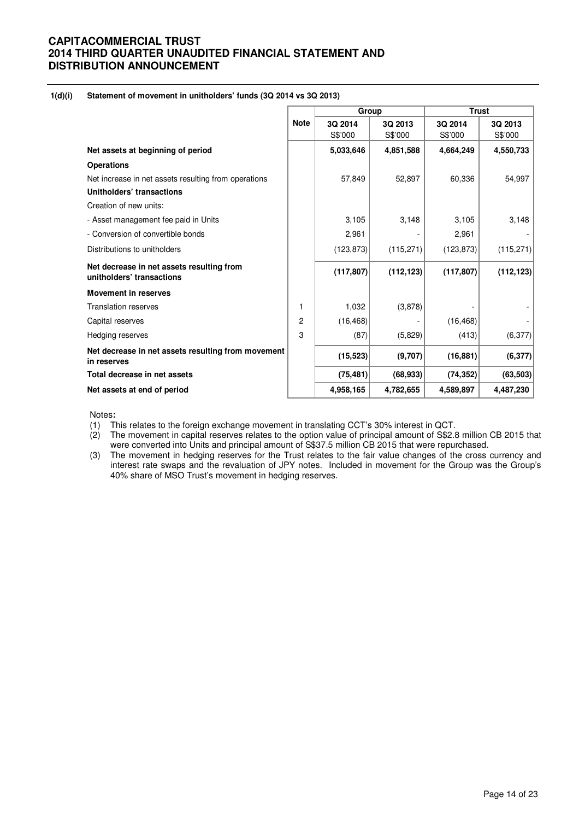#### **1(d)(i) Statement of movement in unitholders' funds (3Q 2014 vs 3Q 2013)**

|                                                                        |             | Group      |            | <b>Trust</b> |            |  |
|------------------------------------------------------------------------|-------------|------------|------------|--------------|------------|--|
|                                                                        | <b>Note</b> | 3Q 2014    | 3Q 2013    | 3Q 2014      | 3Q 2013    |  |
|                                                                        |             | S\$'000    | S\$'000    | S\$'000      | S\$'000    |  |
| Net assets at beginning of period                                      |             | 5,033,646  | 4,851,588  | 4,664,249    | 4,550,733  |  |
| <b>Operations</b>                                                      |             |            |            |              |            |  |
| Net increase in net assets resulting from operations                   |             | 57,849     | 52,897     | 60,336       | 54,997     |  |
| Unitholders' transactions                                              |             |            |            |              |            |  |
| Creation of new units:                                                 |             |            |            |              |            |  |
| - Asset management fee paid in Units                                   |             | 3,105      | 3,148      | 3,105        | 3,148      |  |
| - Conversion of convertible bonds                                      |             | 2,961      |            | 2,961        |            |  |
| Distributions to unitholders                                           |             | (123, 873) | (115, 271) | (123, 873)   | (115, 271) |  |
| Net decrease in net assets resulting from<br>unitholders' transactions |             | (117, 807) | (112, 123) | (117, 807)   | (112, 123) |  |
| <b>Movement in reserves</b>                                            |             |            |            |              |            |  |
| <b>Translation reserves</b>                                            | 1           | 1,032      | (3,878)    |              |            |  |
| Capital reserves                                                       | 2           | (16, 468)  |            | (16, 468)    |            |  |
| Hedging reserves                                                       | 3           | (87)       | (5,829)    | (413)        | (6, 377)   |  |
| Net decrease in net assets resulting from movement<br>in reserves      |             | (15, 523)  | (9,707)    | (16, 881)    | (6, 377)   |  |
| Total decrease in net assets                                           |             | (75, 481)  | (68, 933)  | (74, 352)    | (63, 503)  |  |
| Net assets at end of period                                            |             | 4,958,165  | 4,782,655  | 4,589,897    | 4,487,230  |  |

Notes**:** 

(1) This relates to the foreign exchange movement in translating CCT's 30% interest in QCT.

(2) The movement in capital reserves relates to the option value of principal amount of S\$2.8 million CB 2015 that were converted into Units and principal amount of S\$37.5 million CB 2015 that were repurchased.

(3) The movement in hedging reserves for the Trust relates to the fair value changes of the cross currency and interest rate swaps and the revaluation of JPY notes. Included in movement for the Group was the Group's 40% share of MSO Trust's movement in hedging reserves.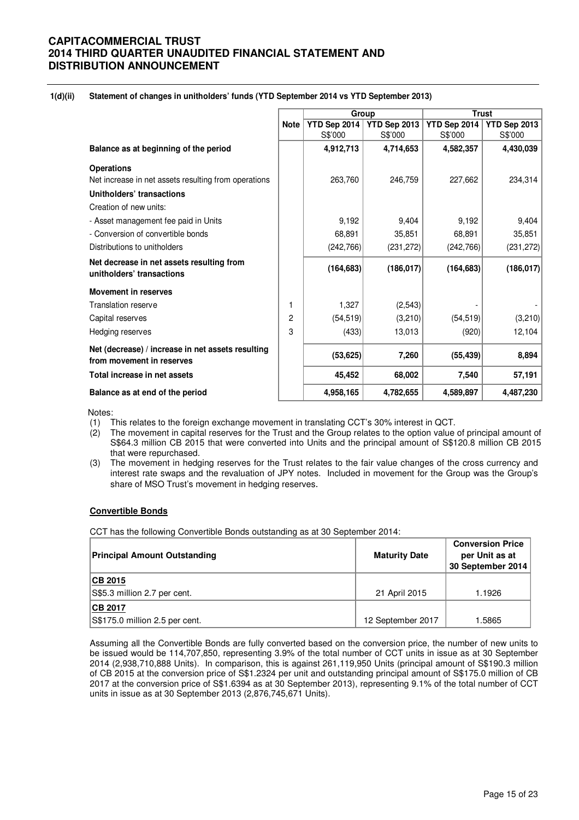## **1(d)(ii) Statement of changes in unitholders' funds (YTD September 2014 vs YTD September 2013)**

|                                                                                |             |              | Group        |              | <b>Trust</b> |
|--------------------------------------------------------------------------------|-------------|--------------|--------------|--------------|--------------|
|                                                                                | <b>Note</b> | YTD Sep 2014 | YTD Sep 2013 | YTD Sep 2014 | YTD Sep 2013 |
|                                                                                |             | S\$'000      | S\$'000      | S\$'000      | S\$'000      |
| Balance as at beginning of the period                                          |             | 4,912,713    | 4,714,653    | 4,582,357    | 4,430,039    |
| <b>Operations</b>                                                              |             |              |              |              |              |
| Net increase in net assets resulting from operations                           |             | 263,760      | 246,759      | 227,662      | 234,314      |
| Unitholders' transactions                                                      |             |              |              |              |              |
| Creation of new units:                                                         |             |              |              |              |              |
| - Asset management fee paid in Units                                           |             | 9,192        | 9,404        | 9,192        | 9,404        |
| - Conversion of convertible bonds                                              |             | 68,891       | 35,851       | 68,891       | 35,851       |
| Distributions to unitholders                                                   |             | (242, 766)   | (231, 272)   | (242, 766)   | (231, 272)   |
| Net decrease in net assets resulting from<br>unitholders' transactions         |             | (164, 683)   | (186, 017)   | (164, 683)   | (186, 017)   |
| <b>Movement in reserves</b>                                                    |             |              |              |              |              |
| <b>Translation reserve</b>                                                     | 1           | 1,327        | (2, 543)     |              |              |
| Capital reserves                                                               | 2           | (54, 519)    | (3,210)      | (54, 519)    | (3,210)      |
| <b>Hedging reserves</b>                                                        | 3           | (433)        | 13,013       | (920)        | 12,104       |
| Net (decrease) / increase in net assets resulting<br>from movement in reserves |             | (53, 625)    | 7,260        | (55, 439)    | 8,894        |
| Total increase in net assets                                                   |             | 45,452       | 68,002       | 7,540        | 57,191       |
| Balance as at end of the period                                                |             | 4,958,165    | 4,782,655    | 4,589,897    | 4,487,230    |

Notes:

- (1) This relates to the foreign exchange movement in translating CCT's 30% interest in QCT.
- (2) The movement in capital reserves for the Trust and the Group relates to the option value of principal amount of S\$64.3 million CB 2015 that were converted into Units and the principal amount of S\$120.8 million CB 2015 that were repurchased.
- (3) The movement in hedging reserves for the Trust relates to the fair value changes of the cross currency and interest rate swaps and the revaluation of JPY notes. Included in movement for the Group was the Group's share of MSO Trust's movement in hedging reserves.

## **Convertible Bonds**

CCT has the following Convertible Bonds outstanding as at 30 September 2014:

| <b>Principal Amount Outstanding</b> | <b>Maturity Date</b> | <b>Conversion Price</b><br>per Unit as at<br>30 September 2014 |
|-------------------------------------|----------------------|----------------------------------------------------------------|
| CB 2015                             |                      |                                                                |
| S\$5.3 million 2.7 per cent.        | 21 April 2015        | 1.1926                                                         |
| <b>CB 2017</b>                      |                      |                                                                |
| S\$175.0 million 2.5 per cent.      | 12 September 2017    | .5865                                                          |

Assuming all the Convertible Bonds are fully converted based on the conversion price, the number of new units to be issued would be 114,707,850, representing 3.9% of the total number of CCT units in issue as at 30 September 2014 (2,938,710,888 Units). In comparison, this is against 261,119,950 Units (principal amount of S\$190.3 million of CB 2015 at the conversion price of S\$1.2324 per unit and outstanding principal amount of S\$175.0 million of CB 2017 at the conversion price of S\$1.6394 as at 30 September 2013), representing 9.1% of the total number of CCT units in issue as at 30 September 2013 (2,876,745,671 Units).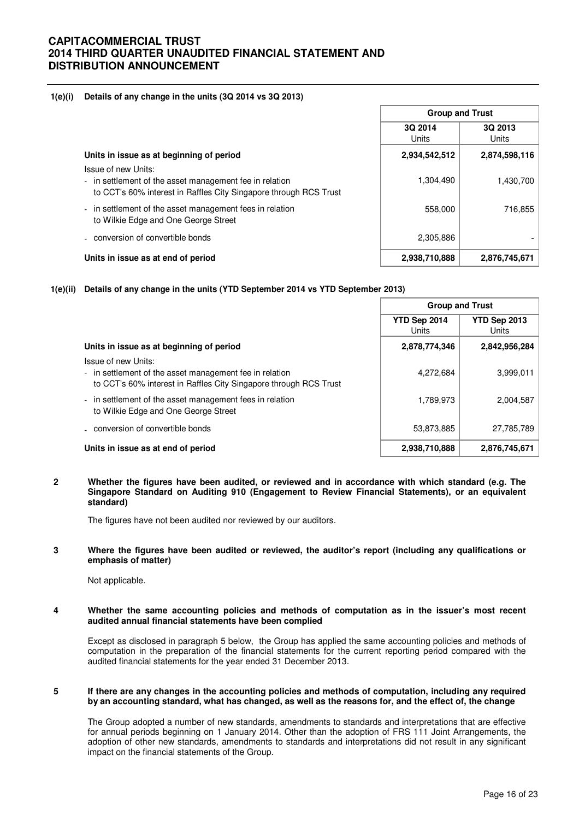## **1(e)(i) Details of any change in the units (3Q 2014 vs 3Q 2013)**

|                                                                                                                                                     | <b>Group and Trust</b> |                  |  |
|-----------------------------------------------------------------------------------------------------------------------------------------------------|------------------------|------------------|--|
|                                                                                                                                                     | 3Q 2014<br>Units       | 3Q 2013<br>Units |  |
| Units in issue as at beginning of period                                                                                                            | 2,934,542,512          | 2,874,598,116    |  |
| Issue of new Units:<br>- in settlement of the asset management fee in relation<br>to CCT's 60% interest in Raffles City Singapore through RCS Trust | 1,304,490              | 1,430,700        |  |
| - in settlement of the asset management fees in relation<br>to Wilkie Edge and One George Street                                                    | 558,000                | 716.855          |  |
| - conversion of convertible bonds                                                                                                                   | 2,305,886              |                  |  |
| Units in issue as at end of period                                                                                                                  | 2,938,710,888          | 2,876,745,671    |  |

## **1(e)(ii) Details of any change in the units (YTD September 2014 vs YTD September 2013)**

|                                                                                                                                                     |                       | <b>Group and Trust</b> |  |  |
|-----------------------------------------------------------------------------------------------------------------------------------------------------|-----------------------|------------------------|--|--|
|                                                                                                                                                     | YTD Sep 2014<br>Units | YTD Sep 2013<br>Units  |  |  |
| Units in issue as at beginning of period                                                                                                            | 2,878,774,346         | 2,842,956,284          |  |  |
| Issue of new Units:<br>- in settlement of the asset management fee in relation<br>to CCT's 60% interest in Raffles City Singapore through RCS Trust | 4,272,684             | 3,999,011              |  |  |
| - in settlement of the asset management fees in relation<br>to Wilkie Edge and One George Street                                                    | 1,789,973             | 2,004,587              |  |  |
| - conversion of convertible bonds                                                                                                                   | 53,873,885            | 27,785,789             |  |  |
| Units in issue as at end of period                                                                                                                  | 2,938,710,888         | 2,876,745,671          |  |  |

#### **2 Whether the figures have been audited, or reviewed and in accordance with which standard (e.g. The Singapore Standard on Auditing 910 (Engagement to Review Financial Statements), or an equivalent standard)**

The figures have not been audited nor reviewed by our auditors.

#### **3 Where the figures have been audited or reviewed, the auditor's report (including any qualifications or emphasis of matter)**

Not applicable.

#### **4 Whether the same accounting policies and methods of computation as in the issuer's most recent audited annual financial statements have been complied**

Except as disclosed in paragraph 5 below, the Group has applied the same accounting policies and methods of computation in the preparation of the financial statements for the current reporting period compared with the audited financial statements for the year ended 31 December 2013.

#### **5 If there are any changes in the accounting policies and methods of computation, including any required by an accounting standard, what has changed, as well as the reasons for, and the effect of, the change**

The Group adopted a number of new standards, amendments to standards and interpretations that are effective for annual periods beginning on 1 January 2014. Other than the adoption of FRS 111 Joint Arrangements, the adoption of other new standards, amendments to standards and interpretations did not result in any significant impact on the financial statements of the Group.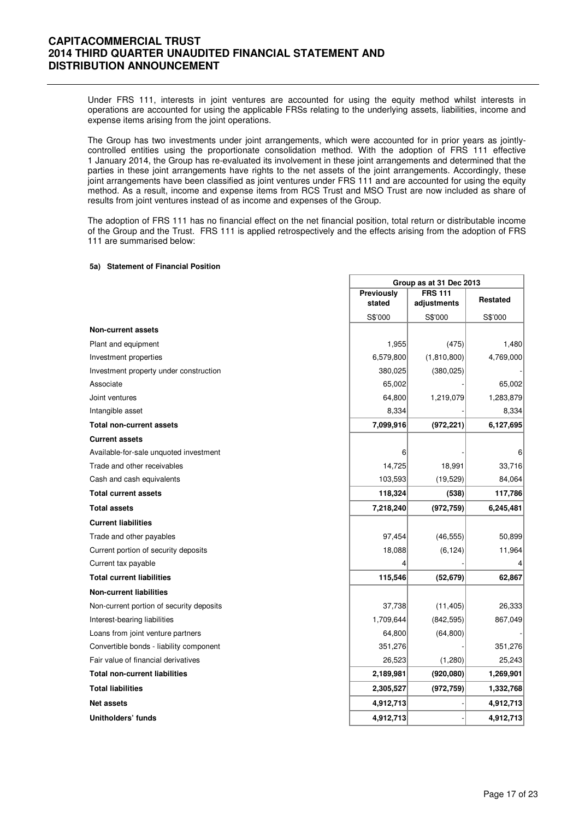Under FRS 111, interests in joint ventures are accounted for using the equity method whilst interests in operations are accounted for using the applicable FRSs relating to the underlying assets, liabilities, income and expense items arising from the joint operations.

The Group has two investments under joint arrangements, which were accounted for in prior years as jointlycontrolled entities using the proportionate consolidation method. With the adoption of FRS 111 effective 1 January 2014, the Group has re-evaluated its involvement in these joint arrangements and determined that the parties in these joint arrangements have rights to the net assets of the joint arrangements. Accordingly, these joint arrangements have been classified as joint ventures under FRS 111 and are accounted for using the equity method. As a result, income and expense items from RCS Trust and MSO Trust are now included as share of results from joint ventures instead of as income and expenses of the Group.

The adoption of FRS 111 has no financial effect on the net financial position, total return or distributable income of the Group and the Trust. FRS 111 is applied retrospectively and the effects arising from the adoption of FRS 111 are summarised below:

#### **5a) Statement of Financial Position**

|                                          | Group as at 31 Dec 2013      |             |           |  |
|------------------------------------------|------------------------------|-------------|-----------|--|
|                                          | Previously<br><b>FRS 111</b> |             | Restated  |  |
|                                          | stated                       | adjustments |           |  |
|                                          | S\$'000                      | S\$'000     | S\$'000   |  |
| <b>Non-current assets</b>                |                              |             |           |  |
| Plant and equipment                      | 1,955                        | (475)       | 1,480     |  |
| Investment properties                    | 6,579,800                    | (1,810,800) | 4,769,000 |  |
| Investment property under construction   | 380,025                      | (380, 025)  |           |  |
| Associate                                | 65,002                       |             | 65,002    |  |
| Joint ventures                           | 64,800                       | 1,219,079   | 1,283,879 |  |
| Intangible asset                         | 8,334                        |             | 8,334     |  |
| <b>Total non-current assets</b>          | 7,099,916                    | (972, 221)  | 6,127,695 |  |
| <b>Current assets</b>                    |                              |             |           |  |
| Available-for-sale unquoted investment   | 6                            |             | 6         |  |
| Trade and other receivables              | 14,725                       | 18,991      | 33,716    |  |
| Cash and cash equivalents                | 103,593                      | (19, 529)   | 84,064    |  |
| <b>Total current assets</b>              | 118,324                      | (538)       | 117,786   |  |
| <b>Total assets</b>                      | 7,218,240                    | (972, 759)  | 6,245,481 |  |
| <b>Current liabilities</b>               |                              |             |           |  |
| Trade and other payables                 | 97,454                       | (46, 555)   | 50,899    |  |
| Current portion of security deposits     | 18,088                       | (6, 124)    | 11,964    |  |
| Current tax payable                      | 4                            |             |           |  |
| <b>Total current liabilities</b>         | 115,546                      | (52, 679)   | 62,867    |  |
| <b>Non-current liabilities</b>           |                              |             |           |  |
| Non-current portion of security deposits | 37,738                       | (11, 405)   | 26,333    |  |
| Interest-bearing liabilities             | 1,709,644                    | (842, 595)  | 867,049   |  |
| Loans from joint venture partners        | 64,800                       | (64, 800)   |           |  |
| Convertible bonds - liability component  | 351,276                      |             | 351,276   |  |
| Fair value of financial derivatives      | 26,523                       | (1,280)     | 25,243    |  |
| <b>Total non-current liabilities</b>     | 2,189,981                    | (920, 080)  | 1,269,901 |  |
| <b>Total liabilities</b>                 | 2,305,527                    | (972, 759)  | 1,332,768 |  |
| <b>Net assets</b>                        | 4,912,713                    |             | 4,912,713 |  |
| Unitholders' funds                       | 4,912,713                    |             | 4,912,713 |  |

٦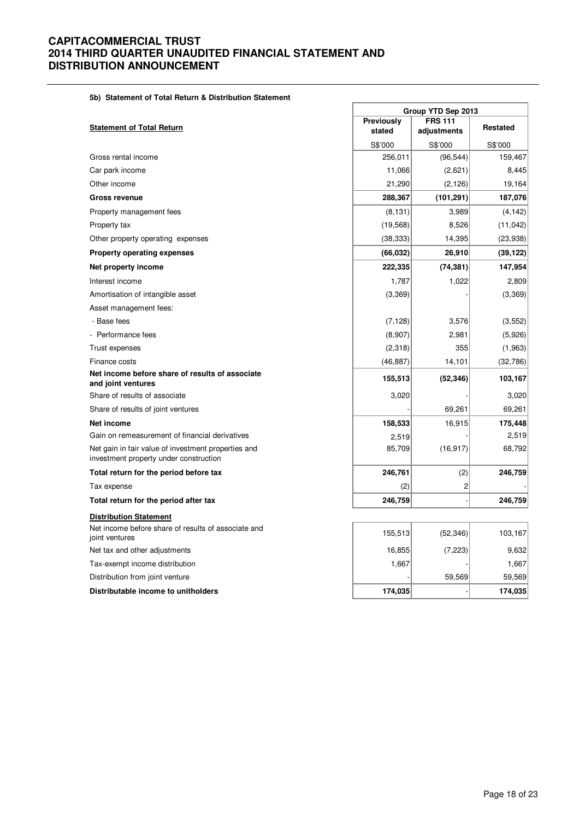## **5b) Statement of Total Return & Distribution Statement**

|                                                                                               |            | Group YTD Sep 2013 |                 |  |  |
|-----------------------------------------------------------------------------------------------|------------|--------------------|-----------------|--|--|
|                                                                                               | Previously | <b>FRS 111</b>     |                 |  |  |
| <b>Statement of Total Return</b>                                                              | stated     | adjustments        | <b>Restated</b> |  |  |
|                                                                                               | S\$'000    | S\$'000            | S\$'000         |  |  |
| Gross rental income                                                                           | 256,011    | (96, 544)          | 159,467         |  |  |
| Car park income                                                                               | 11,066     | (2,621)            | 8,445           |  |  |
| Other income                                                                                  | 21,290     | (2, 126)           | 19,164          |  |  |
| Gross revenue                                                                                 | 288,367    | (101, 291)         | 187,076         |  |  |
| Property management fees                                                                      | (8, 131)   | 3,989              | (4, 142)        |  |  |
| Property tax                                                                                  | (19, 568)  | 8,526              | (11, 042)       |  |  |
| Other property operating expenses                                                             | (38, 333)  | 14,395             | (23, 938)       |  |  |
| <b>Property operating expenses</b>                                                            | (66, 032)  | 26,910             | (39, 122)       |  |  |
| Net property income                                                                           | 222,335    | (74, 381)          | 147,954         |  |  |
| Interest income                                                                               | 1,787      | 1,022              | 2,809           |  |  |
| Amortisation of intangible asset                                                              | (3,369)    |                    | (3,369)         |  |  |
| Asset management fees:                                                                        |            |                    |                 |  |  |
| - Base fees                                                                                   | (7, 128)   | 3,576              | (3, 552)        |  |  |
| Performance fees                                                                              | (8,907)    | 2,981              | (5,926)         |  |  |
| Trust expenses                                                                                | (2,318)    | 355                | (1,963)         |  |  |
| Finance costs                                                                                 | (46, 887)  | 14,101             | (32,786)        |  |  |
| Net income before share of results of associate<br>and joint ventures                         | 155,513    | (52, 346)          | 103,167         |  |  |
| Share of results of associate                                                                 | 3,020      |                    | 3,020           |  |  |
| Share of results of joint ventures                                                            |            | 69,261             | 69,261          |  |  |
| Net income                                                                                    | 158,533    | 16,915             | 175,448         |  |  |
| Gain on remeasurement of financial derivatives                                                | 2,519      |                    | 2,519           |  |  |
| Net gain in fair value of investment properties and<br>investment property under construction | 85,709     | (16, 917)          | 68,792          |  |  |
| Total return for the period before tax                                                        | 246,761    | (2)                | 246,759         |  |  |
| Tax expense                                                                                   | (2)        | 2                  |                 |  |  |
| Total return for the period after tax                                                         | 246,759    |                    | 246,759         |  |  |
| <b>Distribution Statement</b>                                                                 |            |                    |                 |  |  |
| Net income before share of results of associate and<br>joint ventures                         | 155,513    | (52, 346)          | 103,167         |  |  |
| Net tax and other adjustments                                                                 | 16,855     | (7, 223)           | 9,632           |  |  |
| Tax-exempt income distribution                                                                | 1,667      |                    | 1,667           |  |  |
| Distribution from joint venture                                                               |            | 59,569             | 59,569          |  |  |
| Distributable income to unitholders                                                           | 174,035    |                    | 174,035         |  |  |

 $\overline{\phantom{a}}$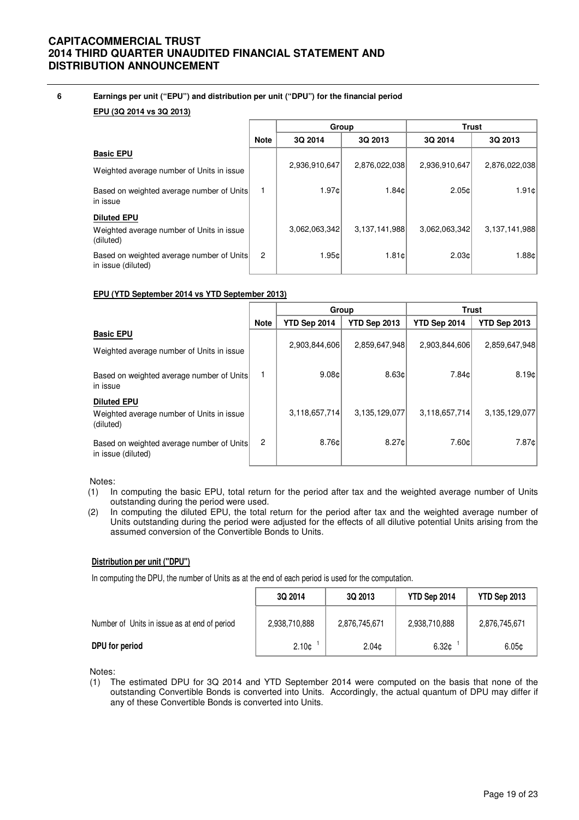## **6 Earnings per unit ("EPU") and distribution per unit ("DPU") for the financial period**

#### **EPU (3Q 2014 vs 3Q 2013)**

|                                                                 |             | Group         |               | Trust         |               |  |
|-----------------------------------------------------------------|-------------|---------------|---------------|---------------|---------------|--|
|                                                                 | <b>Note</b> | 3Q 2014       | 3Q 2013       | 3Q 2014       | 3Q 2013       |  |
| <b>Basic EPU</b>                                                |             |               |               |               |               |  |
| Weighted average number of Units in issue                       |             | 2,936,910,647 | 2,876,022,038 | 2,936,910,647 | 2,876,022,038 |  |
| Based on weighted average number of Units<br>in issue           |             | 1.97c         | 1.84c         | 2.05c         | 1.91c         |  |
| <b>Diluted EPU</b>                                              |             |               |               |               |               |  |
| Weighted average number of Units in issue<br>(diluted)          |             | 3,062,063,342 | 3,137,141,988 | 3,062,063,342 | 3,137,141,988 |  |
| Based on weighted average number of Units<br>in issue (diluted) | 2           | 1.95c         | 1.81c         | 2.03c         | 1.88c         |  |

#### **EPU (YTD September 2014 vs YTD September 2013)**

|                                                                              |                | Group         |               | <b>Trust</b>  |                     |  |
|------------------------------------------------------------------------------|----------------|---------------|---------------|---------------|---------------------|--|
|                                                                              | <b>Note</b>    | YTD Sep 2014  | YTD Sep 2013  | YTD Sep 2014  | <b>YTD Sep 2013</b> |  |
| <b>Basic EPU</b>                                                             |                | 2,903,844,606 | 2,859,647,948 | 2,903,844,606 | 2,859,647,948       |  |
| Weighted average number of Units in issue                                    |                |               |               |               |                     |  |
| Based on weighted average number of Units<br>in issue                        |                | 9.08c         | 8.63c         | 7.84c         | 8.19¢               |  |
| <b>Diluted EPU</b><br>Weighted average number of Units in issue<br>(diluted) |                | 3,118,657,714 | 3,135,129,077 | 3,118,657,714 | 3,135,129,077       |  |
| Based on weighted average number of Units<br>in issue (diluted)              | $\overline{c}$ | 8.76c         | 8.27¢         | 7.60c         | 7.87¢               |  |

#### Notes:

- (1) In computing the basic EPU, total return for the period after tax and the weighted average number of Units outstanding during the period were used.
- (2) In computing the diluted EPU, the total return for the period after tax and the weighted average number of Units outstanding during the period were adjusted for the effects of all dilutive potential Units arising from the assumed conversion of the Convertible Bonds to Units.

### **Distribution per unit ("DPU")**

In computing the DPU, the number of Units as at the end of each period is used for the computation.

|                                              | 3Q 2014           | 3Q 2013           | YTD Sep 2014      | YTD Sep 2013  |
|----------------------------------------------|-------------------|-------------------|-------------------|---------------|
| Number of Units in issue as at end of period | 2,938,710,888     | 2,876,745,671     | 2,938,710,888     | 2,876,745,671 |
| DPU for period                               | 2.10 <sub>c</sub> | 2.04 <sub>c</sub> | 6.32 <sub>¢</sub> | 6.05c         |

Notes:

(1) The estimated DPU for 3Q 2014 and YTD September 2014 were computed on the basis that none of the outstanding Convertible Bonds is converted into Units. Accordingly, the actual quantum of DPU may differ if any of these Convertible Bonds is converted into Units.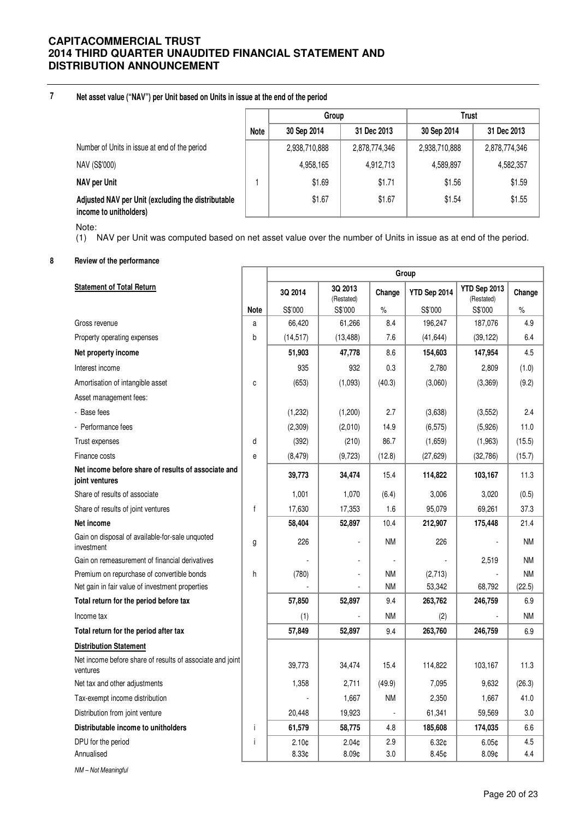**7 Net asset value ("NAV") per Unit based on Units in issue at the end of the period**

|                                                                              |      | Group         |               | <b>Trust</b>  |               |
|------------------------------------------------------------------------------|------|---------------|---------------|---------------|---------------|
|                                                                              | Note | 30 Sep 2014   | 31 Dec 2013   | 30 Sep 2014   | 31 Dec 2013   |
| Number of Units in issue at end of the period                                |      | 2,938,710,888 | 2,878,774,346 | 2,938,710,888 | 2,878,774,346 |
| NAV (S\$'000)                                                                |      | 4,958,165     | 4,912,713     | 4,589,897     | 4,582,357     |
| <b>NAV per Unit</b>                                                          |      | \$1.69        | \$1.71        | \$1.56        | \$1.59        |
| Adjusted NAV per Unit (excluding the distributable<br>income to unitholders) |      | \$1.67        | \$1.67        | \$1.54        | \$1.55        |

Note:

(1) NAV per Unit was computed based on net asset value over the number of Units in issue as at end of the period.

## **8 Review of the performance**

|                                                                       |              | Group             |                       |           |              |                            |           |
|-----------------------------------------------------------------------|--------------|-------------------|-----------------------|-----------|--------------|----------------------------|-----------|
| <b>Statement of Total Return</b>                                      |              | 3Q 2014           | 3Q 2013<br>(Restated) | Change    | YTD Sep 2014 | YTD Sep 2013<br>(Restated) | Change    |
|                                                                       | <b>Note</b>  | S\$'000           | S\$'000               | $\%$      | S\$'000      | S\$'000                    | $\%$      |
| Gross revenue                                                         | a            | 66,420            | 61,266                | 8.4       | 196,247      | 187,076                    | 4.9       |
| Property operating expenses                                           | b            | (14, 517)         | (13, 488)             | 7.6       | (41, 644)    | (39, 122)                  | 6.4       |
| Net property income                                                   |              | 51,903            | 47,778                | 8.6       | 154,603      | 147,954                    | 4.5       |
| Interest income                                                       |              | 935               | 932                   | 0.3       | 2,780        | 2,809                      | (1.0)     |
| Amortisation of intangible asset                                      | C            | (653)             | (1,093)               | (40.3)    | (3,060)      | (3,369)                    | (9.2)     |
| Asset management fees:                                                |              |                   |                       |           |              |                            |           |
| - Base fees                                                           |              | (1,232)           | (1,200)               | 2.7       | (3,638)      | (3,552)                    | 2.4       |
| - Performance fees                                                    |              | (2,309)           | (2,010)               | 14.9      | (6, 575)     | (5,926)                    | 11.0      |
| Trust expenses                                                        | d            | (392)             | (210)                 | 86.7      | (1,659)      | (1,963)                    | (15.5)    |
| Finance costs                                                         | e            | (8, 479)          | (9,723)               | (12.8)    | (27, 629)    | (32,786)                   | (15.7)    |
| Net income before share of results of associate and<br>joint ventures |              | 39,773            | 34,474                | 15.4      | 114,822      | 103,167                    | 11.3      |
| Share of results of associate                                         |              | 1,001             | 1,070                 | (6.4)     | 3,006        | 3,020                      | (0.5)     |
| Share of results of joint ventures                                    | $\mathsf{f}$ | 17,630            | 17,353                | 1.6       | 95,079       | 69.261                     | 37.3      |
| Net income                                                            |              | 58,404            | 52,897                | 10.4      | 212,907      | 175,448                    | 21.4      |
| Gain on disposal of available-for-sale unquoted<br>investment         | g            | 226               |                       | <b>NM</b> | 226          |                            | <b>NM</b> |
| Gain on remeasurement of financial derivatives                        |              |                   |                       |           |              | 2,519                      | <b>NM</b> |
| Premium on repurchase of convertible bonds                            | h            | (780)             |                       | <b>NM</b> | (2,713)      |                            | <b>NM</b> |
| Net gain in fair value of investment properties                       |              |                   |                       | <b>NM</b> | 53,342       | 68,792                     | (22.5)    |
| Total return for the period before tax                                |              | 57,850            | 52,897                | 9.4       | 263,762      | 246,759                    | 6.9       |
| Income tax                                                            |              | (1)               |                       | <b>NM</b> | (2)          |                            | <b>NM</b> |
| Total return for the period after tax                                 |              | 57,849            | 52,897                | 9.4       | 263,760      | 246,759                    | 6.9       |
| <b>Distribution Statement</b>                                         |              |                   |                       |           |              |                            |           |
| Net income before share of results of associate and joint<br>ventures |              | 39,773            | 34,474                | 15.4      | 114,822      | 103,167                    | 11.3      |
| Net tax and other adjustments                                         |              | 1,358             | 2,711                 | (49.9)    | 7,095        | 9,632                      | (26.3)    |
| Tax-exempt income distribution                                        |              |                   | 1,667                 | <b>NM</b> | 2,350        | 1,667                      | 41.0      |
| Distribution from joint venture                                       |              | 20,448            | 19,923                |           | 61,341       | 59,569                     | 3.0       |
| Distributable income to unitholders                                   | j.           | 61,579            | 58,775                | 4.8       | 185,608      | 174,035                    | 6.6       |
| DPU for the period                                                    | İ            | 2.10 <sub>¢</sub> | 2.04 <sub>¢</sub>     | 2.9       | 6.32¢        | 6.05¢                      | 4.5       |
| Annualised                                                            |              | 8.33¢             | 8.09 <sub>c</sub>     | 3.0       | 8.45c        | 8.09 <sub>c</sub>          | 4.4       |
| NM-Not Meaningful                                                     |              |                   |                       |           |              |                            |           |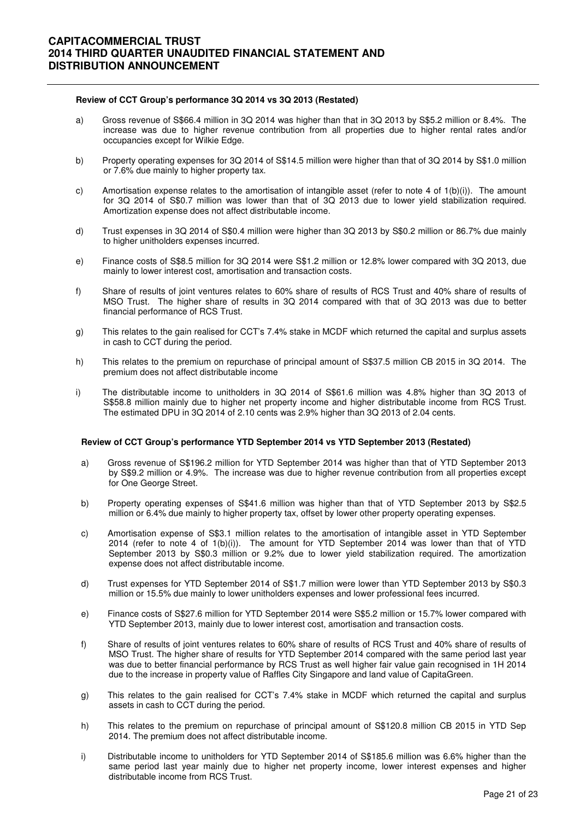#### **Review of CCT Group's performance 3Q 2014 vs 3Q 2013 (Restated)**

- a) Gross revenue of S\$66.4 million in 3Q 2014 was higher than that in 3Q 2013 by S\$5.2 million or 8.4%. The increase was due to higher revenue contribution from all properties due to higher rental rates and/or occupancies except for Wilkie Edge.
- b) Property operating expenses for 3Q 2014 of S\$14.5 million were higher than that of 3Q 2014 by S\$1.0 million or 7.6% due mainly to higher property tax.
- c) Amortisation expense relates to the amortisation of intangible asset (refer to note 4 of  $1(b)(i)$ ). The amount for 3Q 2014 of S\$0.7 million was lower than that of 3Q 2013 due to lower yield stabilization required. Amortization expense does not affect distributable income.
- d) Trust expenses in 3Q 2014 of S\$0.4 million were higher than 3Q 2013 by S\$0.2 million or 86.7% due mainly to higher unitholders expenses incurred.
- e) Finance costs of S\$8.5 million for 3Q 2014 were S\$1.2 million or 12.8% lower compared with 3Q 2013, due mainly to lower interest cost, amortisation and transaction costs.
- f) Share of results of joint ventures relates to 60% share of results of RCS Trust and 40% share of results of MSO Trust. The higher share of results in 3Q 2014 compared with that of 3Q 2013 was due to better financial performance of RCS Trust.
- g) This relates to the gain realised for CCT's 7.4% stake in MCDF which returned the capital and surplus assets in cash to CCT during the period.
- h) This relates to the premium on repurchase of principal amount of S\$37.5 million CB 2015 in 3Q 2014. The premium does not affect distributable income
- i) The distributable income to unitholders in 3Q 2014 of S\$61.6 million was 4.8% higher than 3Q 2013 of S\$58.8 million mainly due to higher net property income and higher distributable income from RCS Trust. The estimated DPU in 3Q 2014 of 2.10 cents was 2.9% higher than 3Q 2013 of 2.04 cents.

#### **Review of CCT Group's performance YTD September 2014 vs YTD September 2013 (Restated)**

- a) Gross revenue of S\$196.2 million for YTD September 2014 was higher than that of YTD September 2013 by S\$9.2 million or 4.9%. The increase was due to higher revenue contribution from all properties except for One George Street.
- b) Property operating expenses of S\$41.6 million was higher than that of YTD September 2013 by S\$2.5 million or 6.4% due mainly to higher property tax, offset by lower other property operating expenses.
- c) Amortisation expense of S\$3.1 million relates to the amortisation of intangible asset in YTD September 2014 (refer to note 4 of 1(b)(i)). The amount for YTD September 2014 was lower than that of YTD September 2013 by S\$0.3 million or 9.2% due to lower yield stabilization required. The amortization expense does not affect distributable income.
- d) Trust expenses for YTD September 2014 of S\$1.7 million were lower than YTD September 2013 by S\$0.3 million or 15.5% due mainly to lower unitholders expenses and lower professional fees incurred.
- e) Finance costs of S\$27.6 million for YTD September 2014 were S\$5.2 million or 15.7% lower compared with YTD September 2013, mainly due to lower interest cost, amortisation and transaction costs.
- f) Share of results of joint ventures relates to 60% share of results of RCS Trust and 40% share of results of MSO Trust. The higher share of results for YTD September 2014 compared with the same period last year was due to better financial performance by RCS Trust as well higher fair value gain recognised in 1H 2014 due to the increase in property value of Raffles City Singapore and land value of CapitaGreen.
- g) This relates to the gain realised for CCT's 7.4% stake in MCDF which returned the capital and surplus assets in cash to CCT during the period.
- h) This relates to the premium on repurchase of principal amount of S\$120.8 million CB 2015 in YTD Sep 2014. The premium does not affect distributable income.
- i) Distributable income to unitholders for YTD September 2014 of S\$185.6 million was 6.6% higher than the same period last year mainly due to higher net property income, lower interest expenses and higher distributable income from RCS Trust.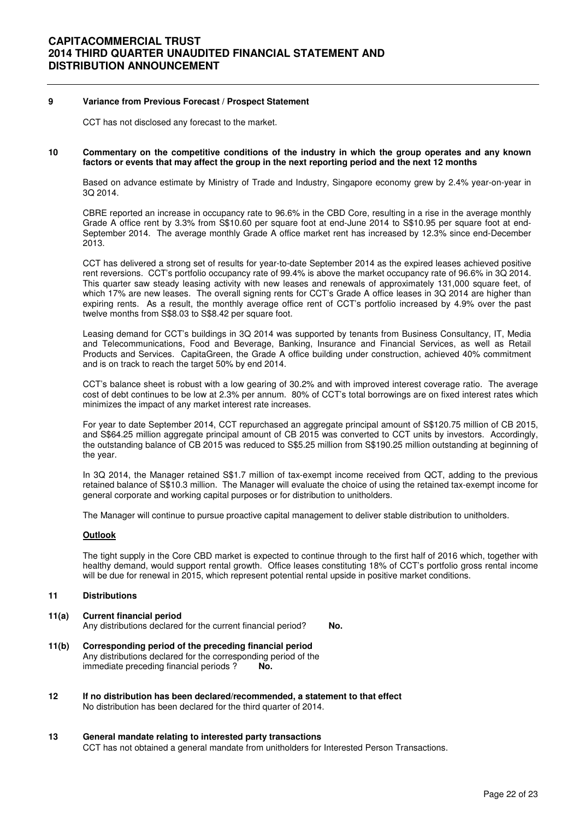### **9 Variance from Previous Forecast / Prospect Statement**

CCT has not disclosed any forecast to the market.

#### **10 Commentary on the competitive conditions of the industry in which the group operates and any known factors or events that may affect the group in the next reporting period and the next 12 months**

Based on advance estimate by Ministry of Trade and Industry, Singapore economy grew by 2.4% year-on-year in 3Q 2014.

CBRE reported an increase in occupancy rate to 96.6% in the CBD Core, resulting in a rise in the average monthly Grade A office rent by 3.3% from S\$10.60 per square foot at end-June 2014 to S\$10.95 per square foot at end-September 2014. The average monthly Grade A office market rent has increased by 12.3% since end-December 2013.

CCT has delivered a strong set of results for year-to-date September 2014 as the expired leases achieved positive rent reversions. CCT's portfolio occupancy rate of 99.4% is above the market occupancy rate of 96.6% in 3Q 2014. This quarter saw steady leasing activity with new leases and renewals of approximately 131,000 square feet, of which 17% are new leases. The overall signing rents for CCT's Grade A office leases in 3Q 2014 are higher than expiring rents. As a result, the monthly average office rent of CCT's portfolio increased by 4.9% over the past twelve months from S\$8.03 to S\$8.42 per square foot.

Leasing demand for CCT's buildings in 3Q 2014 was supported by tenants from Business Consultancy, IT, Media and Telecommunications, Food and Beverage, Banking, Insurance and Financial Services, as well as Retail Products and Services. CapitaGreen, the Grade A office building under construction, achieved 40% commitment and is on track to reach the target 50% by end 2014.

CCT's balance sheet is robust with a low gearing of 30.2% and with improved interest coverage ratio. The average cost of debt continues to be low at 2.3% per annum. 80% of CCT's total borrowings are on fixed interest rates which minimizes the impact of any market interest rate increases.

For year to date September 2014, CCT repurchased an aggregate principal amount of S\$120.75 million of CB 2015, and S\$64.25 million aggregate principal amount of CB 2015 was converted to CCT units by investors. Accordingly, the outstanding balance of CB 2015 was reduced to S\$5.25 million from S\$190.25 million outstanding at beginning of the year.

In 3Q 2014, the Manager retained S\$1.7 million of tax-exempt income received from QCT, adding to the previous retained balance of S\$10.3 million. The Manager will evaluate the choice of using the retained tax-exempt income for general corporate and working capital purposes or for distribution to unitholders.

The Manager will continue to pursue proactive capital management to deliver stable distribution to unitholders.

#### **Outlook**

The tight supply in the Core CBD market is expected to continue through to the first half of 2016 which, together with healthy demand, would support rental growth. Office leases constituting 18% of CCT's portfolio gross rental income will be due for renewal in 2015, which represent potential rental upside in positive market conditions.

#### **11 Distributions**

- **11(a) Current financial period**  Any distributions declared for the current financial period? No.
- **11(b) Corresponding period of the preceding financial period**  Any distributions declared for the corresponding period of the immediate preceding financial periods ? **No.**
- **12 If no distribution has been declared/recommended, a statement to that effect** No distribution has been declared for the third quarter of 2014.
- **13 General mandate relating to interested party transactions** CCT has not obtained a general mandate from unitholders for Interested Person Transactions.